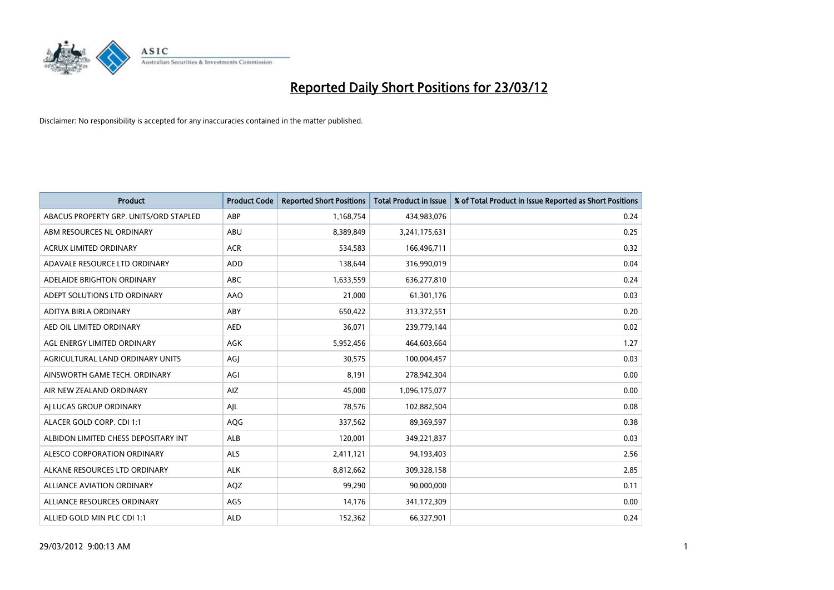

| <b>Product</b>                         | <b>Product Code</b> | <b>Reported Short Positions</b> | <b>Total Product in Issue</b> | % of Total Product in Issue Reported as Short Positions |
|----------------------------------------|---------------------|---------------------------------|-------------------------------|---------------------------------------------------------|
| ABACUS PROPERTY GRP. UNITS/ORD STAPLED | ABP                 | 1,168,754                       | 434,983,076                   | 0.24                                                    |
| ABM RESOURCES NL ORDINARY              | ABU                 | 8,389,849                       | 3,241,175,631                 | 0.25                                                    |
| <b>ACRUX LIMITED ORDINARY</b>          | <b>ACR</b>          | 534,583                         | 166,496,711                   | 0.32                                                    |
| ADAVALE RESOURCE LTD ORDINARY          | <b>ADD</b>          | 138,644                         | 316,990,019                   | 0.04                                                    |
| ADELAIDE BRIGHTON ORDINARY             | <b>ABC</b>          | 1,633,559                       | 636,277,810                   | 0.24                                                    |
| ADEPT SOLUTIONS LTD ORDINARY           | AAO                 | 21,000                          | 61,301,176                    | 0.03                                                    |
| ADITYA BIRLA ORDINARY                  | ABY                 | 650,422                         | 313,372,551                   | 0.20                                                    |
| AED OIL LIMITED ORDINARY               | <b>AED</b>          | 36,071                          | 239,779,144                   | 0.02                                                    |
| AGL ENERGY LIMITED ORDINARY            | <b>AGK</b>          | 5,952,456                       | 464,603,664                   | 1.27                                                    |
| AGRICULTURAL LAND ORDINARY UNITS       | AGI                 | 30,575                          | 100,004,457                   | 0.03                                                    |
| AINSWORTH GAME TECH. ORDINARY          | AGI                 | 8,191                           | 278,942,304                   | 0.00                                                    |
| AIR NEW ZEALAND ORDINARY               | <b>AIZ</b>          | 45,000                          | 1,096,175,077                 | 0.00                                                    |
| AI LUCAS GROUP ORDINARY                | AJL                 | 78,576                          | 102,882,504                   | 0.08                                                    |
| ALACER GOLD CORP. CDI 1:1              | AQG                 | 337,562                         | 89,369,597                    | 0.38                                                    |
| ALBIDON LIMITED CHESS DEPOSITARY INT   | <b>ALB</b>          | 120,001                         | 349,221,837                   | 0.03                                                    |
| ALESCO CORPORATION ORDINARY            | ALS                 | 2,411,121                       | 94,193,403                    | 2.56                                                    |
| ALKANE RESOURCES LTD ORDINARY          | <b>ALK</b>          | 8,812,662                       | 309,328,158                   | 2.85                                                    |
| <b>ALLIANCE AVIATION ORDINARY</b>      | AQZ                 | 99,290                          | 90,000,000                    | 0.11                                                    |
| ALLIANCE RESOURCES ORDINARY            | AGS                 | 14,176                          | 341,172,309                   | 0.00                                                    |
| ALLIED GOLD MIN PLC CDI 1:1            | <b>ALD</b>          | 152,362                         | 66,327,901                    | 0.24                                                    |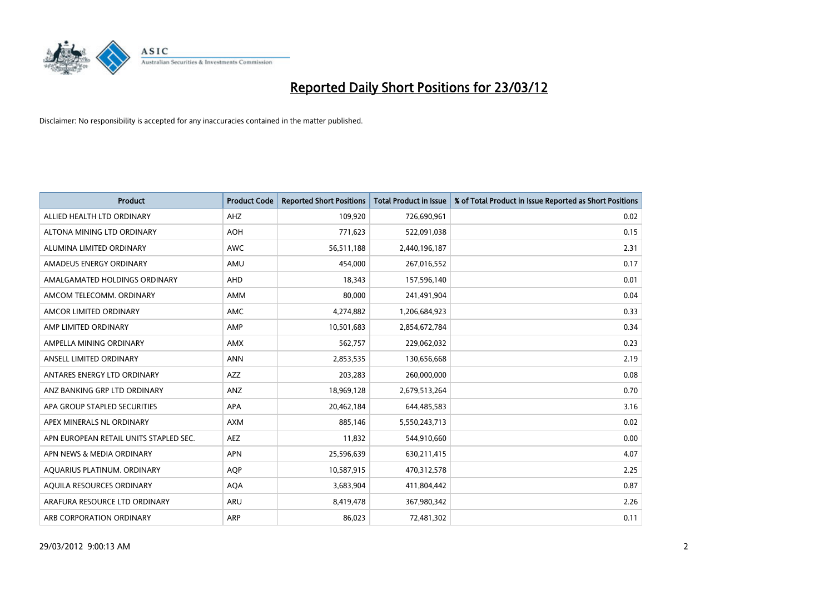

| <b>Product</b>                         | <b>Product Code</b> | <b>Reported Short Positions</b> | <b>Total Product in Issue</b> | % of Total Product in Issue Reported as Short Positions |
|----------------------------------------|---------------------|---------------------------------|-------------------------------|---------------------------------------------------------|
| ALLIED HEALTH LTD ORDINARY             | AHZ                 | 109,920                         | 726,690,961                   | 0.02                                                    |
| ALTONA MINING LTD ORDINARY             | <b>AOH</b>          | 771,623                         | 522,091,038                   | 0.15                                                    |
| ALUMINA LIMITED ORDINARY               | <b>AWC</b>          | 56,511,188                      | 2,440,196,187                 | 2.31                                                    |
| AMADEUS ENERGY ORDINARY                | AMU                 | 454,000                         | 267,016,552                   | 0.17                                                    |
| AMALGAMATED HOLDINGS ORDINARY          | AHD                 | 18,343                          | 157,596,140                   | 0.01                                                    |
| AMCOM TELECOMM. ORDINARY               | AMM                 | 80,000                          | 241,491,904                   | 0.04                                                    |
| AMCOR LIMITED ORDINARY                 | AMC                 | 4,274,882                       | 1,206,684,923                 | 0.33                                                    |
| AMP LIMITED ORDINARY                   | AMP                 | 10,501,683                      | 2,854,672,784                 | 0.34                                                    |
| AMPELLA MINING ORDINARY                | <b>AMX</b>          | 562,757                         | 229,062,032                   | 0.23                                                    |
| ANSELL LIMITED ORDINARY                | <b>ANN</b>          | 2,853,535                       | 130,656,668                   | 2.19                                                    |
| ANTARES ENERGY LTD ORDINARY            | AZZ                 | 203,283                         | 260,000,000                   | 0.08                                                    |
| ANZ BANKING GRP LTD ORDINARY           | ANZ                 | 18,969,128                      | 2,679,513,264                 | 0.70                                                    |
| APA GROUP STAPLED SECURITIES           | APA                 | 20,462,184                      | 644,485,583                   | 3.16                                                    |
| APEX MINERALS NL ORDINARY              | <b>AXM</b>          | 885,146                         | 5,550,243,713                 | 0.02                                                    |
| APN EUROPEAN RETAIL UNITS STAPLED SEC. | <b>AEZ</b>          | 11,832                          | 544,910,660                   | 0.00                                                    |
| APN NEWS & MEDIA ORDINARY              | <b>APN</b>          | 25,596,639                      | 630,211,415                   | 4.07                                                    |
| AQUARIUS PLATINUM. ORDINARY            | <b>AQP</b>          | 10,587,915                      | 470,312,578                   | 2.25                                                    |
| AQUILA RESOURCES ORDINARY              | <b>AQA</b>          | 3,683,904                       | 411,804,442                   | 0.87                                                    |
| ARAFURA RESOURCE LTD ORDINARY          | <b>ARU</b>          | 8,419,478                       | 367,980,342                   | 2.26                                                    |
| ARB CORPORATION ORDINARY               | ARP                 | 86,023                          | 72,481,302                    | 0.11                                                    |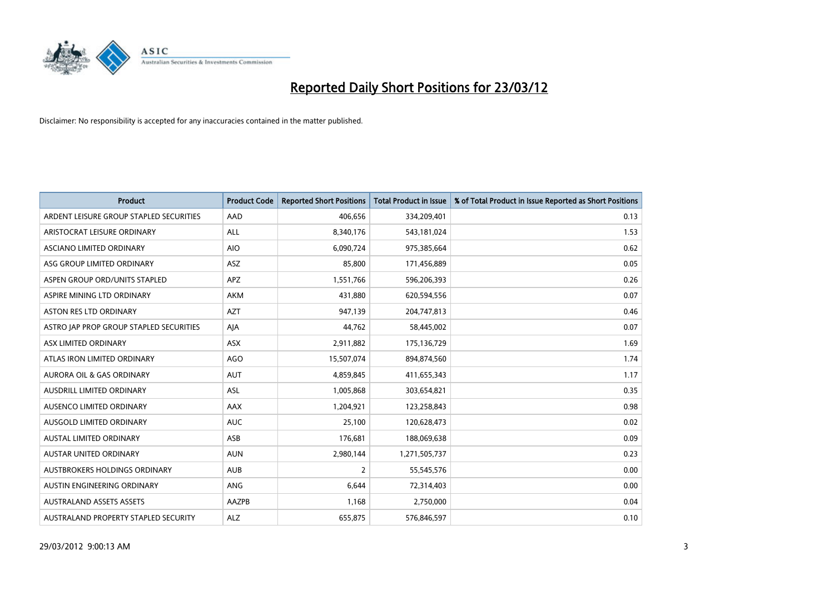

| <b>Product</b>                          | <b>Product Code</b> | <b>Reported Short Positions</b> | <b>Total Product in Issue</b> | % of Total Product in Issue Reported as Short Positions |
|-----------------------------------------|---------------------|---------------------------------|-------------------------------|---------------------------------------------------------|
| ARDENT LEISURE GROUP STAPLED SECURITIES | AAD                 | 406,656                         | 334,209,401                   | 0.13                                                    |
| ARISTOCRAT LEISURE ORDINARY             | ALL                 | 8,340,176                       | 543,181,024                   | 1.53                                                    |
| <b>ASCIANO LIMITED ORDINARY</b>         | <b>AIO</b>          | 6,090,724                       | 975,385,664                   | 0.62                                                    |
| ASG GROUP LIMITED ORDINARY              | ASZ                 | 85,800                          | 171,456,889                   | 0.05                                                    |
| ASPEN GROUP ORD/UNITS STAPLED           | <b>APZ</b>          | 1,551,766                       | 596,206,393                   | 0.26                                                    |
| ASPIRE MINING LTD ORDINARY              | <b>AKM</b>          | 431,880                         | 620,594,556                   | 0.07                                                    |
| <b>ASTON RES LTD ORDINARY</b>           | <b>AZT</b>          | 947,139                         | 204,747,813                   | 0.46                                                    |
| ASTRO JAP PROP GROUP STAPLED SECURITIES | AJA                 | 44,762                          | 58,445,002                    | 0.07                                                    |
| ASX LIMITED ORDINARY                    | <b>ASX</b>          | 2,911,882                       | 175,136,729                   | 1.69                                                    |
| ATLAS IRON LIMITED ORDINARY             | <b>AGO</b>          | 15,507,074                      | 894,874,560                   | 1.74                                                    |
| AURORA OIL & GAS ORDINARY               | AUT                 | 4,859,845                       | 411,655,343                   | 1.17                                                    |
| <b>AUSDRILL LIMITED ORDINARY</b>        | ASL                 | 1,005,868                       | 303,654,821                   | 0.35                                                    |
| AUSENCO LIMITED ORDINARY                | AAX                 | 1,204,921                       | 123,258,843                   | 0.98                                                    |
| AUSGOLD LIMITED ORDINARY                | <b>AUC</b>          | 25,100                          | 120,628,473                   | 0.02                                                    |
| <b>AUSTAL LIMITED ORDINARY</b>          | ASB                 | 176,681                         | 188,069,638                   | 0.09                                                    |
| AUSTAR UNITED ORDINARY                  | <b>AUN</b>          | 2,980,144                       | 1,271,505,737                 | 0.23                                                    |
| AUSTBROKERS HOLDINGS ORDINARY           | <b>AUB</b>          | $\overline{2}$                  | 55,545,576                    | 0.00                                                    |
| AUSTIN ENGINEERING ORDINARY             | ANG                 | 6,644                           | 72,314,403                    | 0.00                                                    |
| <b>AUSTRALAND ASSETS ASSETS</b>         | AAZPB               | 1,168                           | 2,750,000                     | 0.04                                                    |
| AUSTRALAND PROPERTY STAPLED SECURITY    | <b>ALZ</b>          | 655,875                         | 576,846,597                   | 0.10                                                    |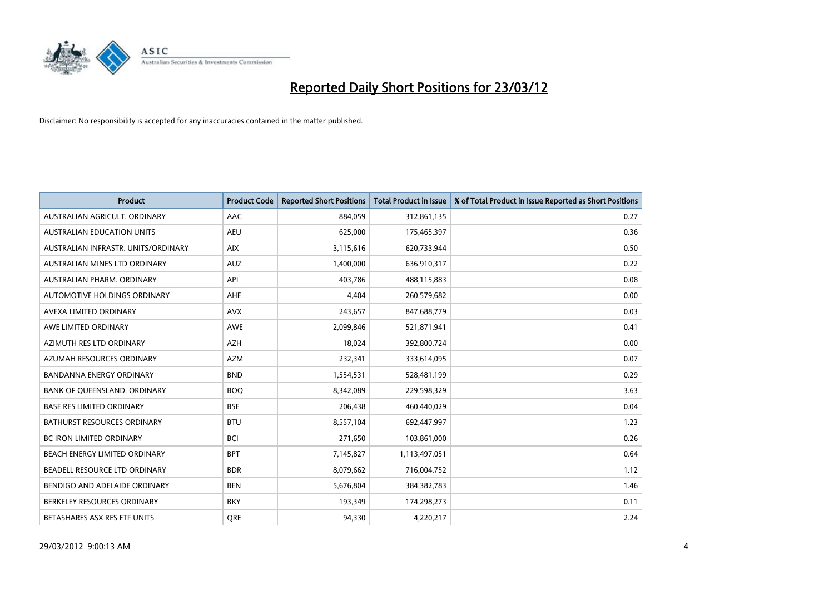

| <b>Product</b>                      | <b>Product Code</b> | <b>Reported Short Positions</b> | <b>Total Product in Issue</b> | % of Total Product in Issue Reported as Short Positions |
|-------------------------------------|---------------------|---------------------------------|-------------------------------|---------------------------------------------------------|
| AUSTRALIAN AGRICULT, ORDINARY       | AAC                 | 884.059                         | 312,861,135                   | 0.27                                                    |
| AUSTRALIAN EDUCATION UNITS          | <b>AEU</b>          | 625,000                         | 175,465,397                   | 0.36                                                    |
| AUSTRALIAN INFRASTR, UNITS/ORDINARY | <b>AIX</b>          | 3,115,616                       | 620,733,944                   | 0.50                                                    |
| AUSTRALIAN MINES LTD ORDINARY       | <b>AUZ</b>          | 1,400,000                       | 636,910,317                   | 0.22                                                    |
| AUSTRALIAN PHARM, ORDINARY          | API                 | 403,786                         | 488,115,883                   | 0.08                                                    |
| AUTOMOTIVE HOLDINGS ORDINARY        | <b>AHE</b>          | 4,404                           | 260,579,682                   | 0.00                                                    |
| AVEXA LIMITED ORDINARY              | <b>AVX</b>          | 243,657                         | 847,688,779                   | 0.03                                                    |
| AWE LIMITED ORDINARY                | AWE                 | 2,099,846                       | 521,871,941                   | 0.41                                                    |
| AZIMUTH RES LTD ORDINARY            | <b>AZH</b>          | 18.024                          | 392,800,724                   | 0.00                                                    |
| AZUMAH RESOURCES ORDINARY           | <b>AZM</b>          | 232,341                         | 333,614,095                   | 0.07                                                    |
| BANDANNA ENERGY ORDINARY            | <b>BND</b>          | 1,554,531                       | 528,481,199                   | 0.29                                                    |
| BANK OF QUEENSLAND. ORDINARY        | <b>BOO</b>          | 8,342,089                       | 229,598,329                   | 3.63                                                    |
| <b>BASE RES LIMITED ORDINARY</b>    | <b>BSE</b>          | 206,438                         | 460,440,029                   | 0.04                                                    |
| <b>BATHURST RESOURCES ORDINARY</b>  | <b>BTU</b>          | 8,557,104                       | 692,447,997                   | 1.23                                                    |
| <b>BC IRON LIMITED ORDINARY</b>     | <b>BCI</b>          | 271,650                         | 103,861,000                   | 0.26                                                    |
| BEACH ENERGY LIMITED ORDINARY       | <b>BPT</b>          | 7,145,827                       | 1,113,497,051                 | 0.64                                                    |
| BEADELL RESOURCE LTD ORDINARY       | <b>BDR</b>          | 8,079,662                       | 716,004,752                   | 1.12                                                    |
| BENDIGO AND ADELAIDE ORDINARY       | <b>BEN</b>          | 5,676,804                       | 384, 382, 783                 | 1.46                                                    |
| BERKELEY RESOURCES ORDINARY         | <b>BKY</b>          | 193,349                         | 174,298,273                   | 0.11                                                    |
| BETASHARES ASX RES ETF UNITS        | <b>ORE</b>          | 94,330                          | 4,220,217                     | 2.24                                                    |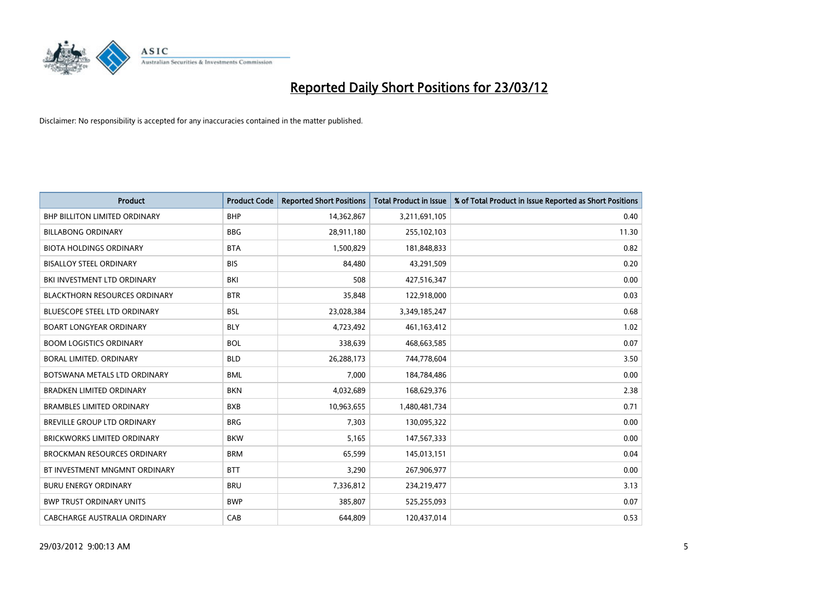

| Product                              | <b>Product Code</b> | <b>Reported Short Positions</b> | <b>Total Product in Issue</b> | % of Total Product in Issue Reported as Short Positions |
|--------------------------------------|---------------------|---------------------------------|-------------------------------|---------------------------------------------------------|
| <b>BHP BILLITON LIMITED ORDINARY</b> | <b>BHP</b>          | 14,362,867                      | 3,211,691,105                 | 0.40                                                    |
| <b>BILLABONG ORDINARY</b>            | <b>BBG</b>          | 28,911,180                      | 255,102,103                   | 11.30                                                   |
| <b>BIOTA HOLDINGS ORDINARY</b>       | <b>BTA</b>          | 1,500,829                       | 181,848,833                   | 0.82                                                    |
| <b>BISALLOY STEEL ORDINARY</b>       | <b>BIS</b>          | 84,480                          | 43,291,509                    | 0.20                                                    |
| BKI INVESTMENT LTD ORDINARY          | BKI                 | 508                             | 427,516,347                   | 0.00                                                    |
| <b>BLACKTHORN RESOURCES ORDINARY</b> | <b>BTR</b>          | 35,848                          | 122,918,000                   | 0.03                                                    |
| <b>BLUESCOPE STEEL LTD ORDINARY</b>  | <b>BSL</b>          | 23,028,384                      | 3,349,185,247                 | 0.68                                                    |
| <b>BOART LONGYEAR ORDINARY</b>       | <b>BLY</b>          | 4,723,492                       | 461,163,412                   | 1.02                                                    |
| <b>BOOM LOGISTICS ORDINARY</b>       | <b>BOL</b>          | 338,639                         | 468,663,585                   | 0.07                                                    |
| <b>BORAL LIMITED, ORDINARY</b>       | <b>BLD</b>          | 26,288,173                      | 744,778,604                   | 3.50                                                    |
| BOTSWANA METALS LTD ORDINARY         | <b>BML</b>          | 7,000                           | 184,784,486                   | 0.00                                                    |
| <b>BRADKEN LIMITED ORDINARY</b>      | <b>BKN</b>          | 4,032,689                       | 168,629,376                   | 2.38                                                    |
| <b>BRAMBLES LIMITED ORDINARY</b>     | <b>BXB</b>          | 10,963,655                      | 1,480,481,734                 | 0.71                                                    |
| BREVILLE GROUP LTD ORDINARY          | <b>BRG</b>          | 7,303                           | 130,095,322                   | 0.00                                                    |
| <b>BRICKWORKS LIMITED ORDINARY</b>   | <b>BKW</b>          | 5,165                           | 147,567,333                   | 0.00                                                    |
| <b>BROCKMAN RESOURCES ORDINARY</b>   | <b>BRM</b>          | 65,599                          | 145,013,151                   | 0.04                                                    |
| BT INVESTMENT MNGMNT ORDINARY        | <b>BTT</b>          | 3,290                           | 267,906,977                   | 0.00                                                    |
| <b>BURU ENERGY ORDINARY</b>          | <b>BRU</b>          | 7,336,812                       | 234,219,477                   | 3.13                                                    |
| <b>BWP TRUST ORDINARY UNITS</b>      | <b>BWP</b>          | 385,807                         | 525,255,093                   | 0.07                                                    |
| <b>CABCHARGE AUSTRALIA ORDINARY</b>  | CAB                 | 644,809                         | 120,437,014                   | 0.53                                                    |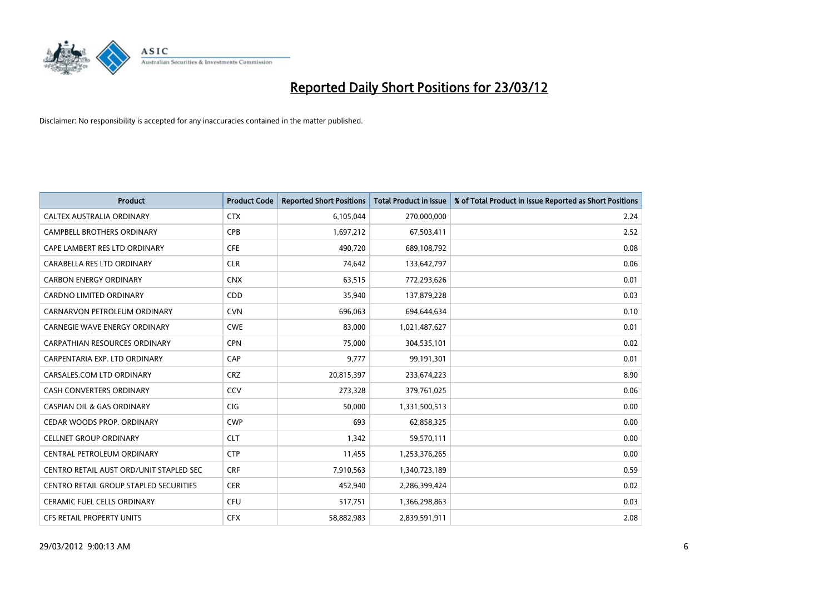

| <b>Product</b>                          | <b>Product Code</b> | <b>Reported Short Positions</b> | <b>Total Product in Issue</b> | % of Total Product in Issue Reported as Short Positions |
|-----------------------------------------|---------------------|---------------------------------|-------------------------------|---------------------------------------------------------|
| CALTEX AUSTRALIA ORDINARY               | <b>CTX</b>          | 6,105,044                       | 270,000,000                   | 2.24                                                    |
| <b>CAMPBELL BROTHERS ORDINARY</b>       | <b>CPB</b>          | 1,697,212                       | 67,503,411                    | 2.52                                                    |
| CAPE LAMBERT RES LTD ORDINARY           | <b>CFE</b>          | 490,720                         | 689,108,792                   | 0.08                                                    |
| CARABELLA RES LTD ORDINARY              | <b>CLR</b>          | 74,642                          | 133,642,797                   | 0.06                                                    |
| <b>CARBON ENERGY ORDINARY</b>           | <b>CNX</b>          | 63,515                          | 772,293,626                   | 0.01                                                    |
| <b>CARDNO LIMITED ORDINARY</b>          | CDD                 | 35,940                          | 137,879,228                   | 0.03                                                    |
| CARNARVON PETROLEUM ORDINARY            | <b>CVN</b>          | 696,063                         | 694,644,634                   | 0.10                                                    |
| <b>CARNEGIE WAVE ENERGY ORDINARY</b>    | <b>CWE</b>          | 83,000                          | 1,021,487,627                 | 0.01                                                    |
| <b>CARPATHIAN RESOURCES ORDINARY</b>    | <b>CPN</b>          | 75,000                          | 304,535,101                   | 0.02                                                    |
| CARPENTARIA EXP. LTD ORDINARY           | CAP                 | 9,777                           | 99,191,301                    | 0.01                                                    |
| CARSALES.COM LTD ORDINARY               | <b>CRZ</b>          | 20,815,397                      | 233,674,223                   | 8.90                                                    |
| <b>CASH CONVERTERS ORDINARY</b>         | CCV                 | 273,328                         | 379,761,025                   | 0.06                                                    |
| <b>CASPIAN OIL &amp; GAS ORDINARY</b>   | <b>CIG</b>          | 50,000                          | 1,331,500,513                 | 0.00                                                    |
| CEDAR WOODS PROP. ORDINARY              | <b>CWP</b>          | 693                             | 62,858,325                    | 0.00                                                    |
| <b>CELLNET GROUP ORDINARY</b>           | <b>CLT</b>          | 1,342                           | 59,570,111                    | 0.00                                                    |
| CENTRAL PETROLEUM ORDINARY              | <b>CTP</b>          | 11,455                          | 1,253,376,265                 | 0.00                                                    |
| CENTRO RETAIL AUST ORD/UNIT STAPLED SEC | <b>CRF</b>          | 7,910,563                       | 1,340,723,189                 | 0.59                                                    |
| CENTRO RETAIL GROUP STAPLED SECURITIES  | <b>CER</b>          | 452,940                         | 2,286,399,424                 | 0.02                                                    |
| CERAMIC FUEL CELLS ORDINARY             | <b>CFU</b>          | 517,751                         | 1,366,298,863                 | 0.03                                                    |
| CFS RETAIL PROPERTY UNITS               | <b>CFX</b>          | 58,882,983                      | 2,839,591,911                 | 2.08                                                    |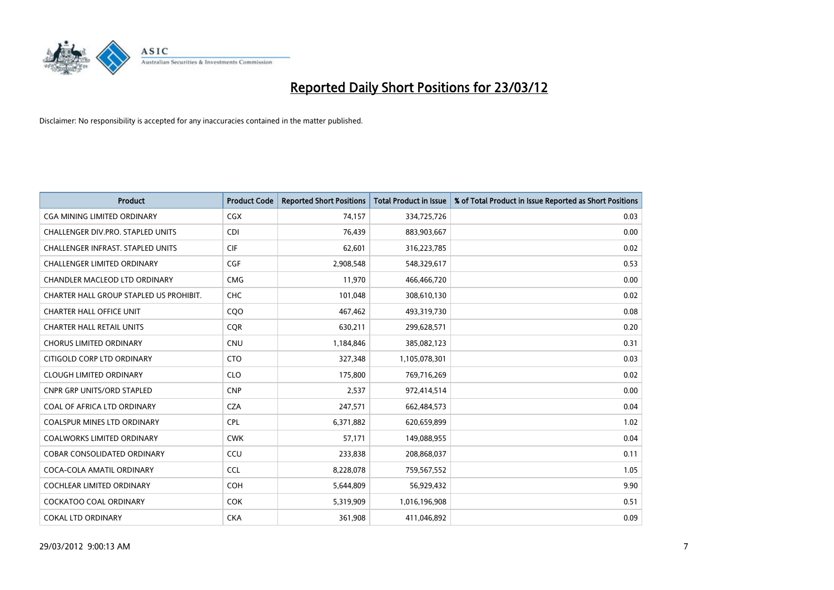

| <b>Product</b>                          | <b>Product Code</b> | <b>Reported Short Positions</b> | <b>Total Product in Issue</b> | % of Total Product in Issue Reported as Short Positions |
|-----------------------------------------|---------------------|---------------------------------|-------------------------------|---------------------------------------------------------|
| <b>CGA MINING LIMITED ORDINARY</b>      | <b>CGX</b>          | 74,157                          | 334,725,726                   | 0.03                                                    |
| CHALLENGER DIV.PRO. STAPLED UNITS       | <b>CDI</b>          | 76,439                          | 883,903,667                   | 0.00                                                    |
| CHALLENGER INFRAST. STAPLED UNITS       | <b>CIF</b>          | 62,601                          | 316,223,785                   | 0.02                                                    |
| <b>CHALLENGER LIMITED ORDINARY</b>      | <b>CGF</b>          | 2,908,548                       | 548,329,617                   | 0.53                                                    |
| CHANDLER MACLEOD LTD ORDINARY           | <b>CMG</b>          | 11,970                          | 466,466,720                   | 0.00                                                    |
| CHARTER HALL GROUP STAPLED US PROHIBIT. | <b>CHC</b>          | 101,048                         | 308,610,130                   | 0.02                                                    |
| <b>CHARTER HALL OFFICE UNIT</b>         | CQ <sub>O</sub>     | 467,462                         | 493,319,730                   | 0.08                                                    |
| <b>CHARTER HALL RETAIL UNITS</b>        | <b>COR</b>          | 630,211                         | 299,628,571                   | 0.20                                                    |
| <b>CHORUS LIMITED ORDINARY</b>          | <b>CNU</b>          | 1,184,846                       | 385,082,123                   | 0.31                                                    |
| CITIGOLD CORP LTD ORDINARY              | <b>CTO</b>          | 327,348                         | 1,105,078,301                 | 0.03                                                    |
| <b>CLOUGH LIMITED ORDINARY</b>          | <b>CLO</b>          | 175,800                         | 769,716,269                   | 0.02                                                    |
| <b>CNPR GRP UNITS/ORD STAPLED</b>       | <b>CNP</b>          | 2,537                           | 972,414,514                   | 0.00                                                    |
| COAL OF AFRICA LTD ORDINARY             | <b>CZA</b>          | 247,571                         | 662,484,573                   | 0.04                                                    |
| <b>COALSPUR MINES LTD ORDINARY</b>      | <b>CPL</b>          | 6,371,882                       | 620,659,899                   | 1.02                                                    |
| <b>COALWORKS LIMITED ORDINARY</b>       | <b>CWK</b>          | 57,171                          | 149,088,955                   | 0.04                                                    |
| COBAR CONSOLIDATED ORDINARY             | CCU                 | 233,838                         | 208,868,037                   | 0.11                                                    |
| COCA-COLA AMATIL ORDINARY               | <b>CCL</b>          | 8,228,078                       | 759,567,552                   | 1.05                                                    |
| COCHLEAR LIMITED ORDINARY               | <b>COH</b>          | 5,644,809                       | 56,929,432                    | 9.90                                                    |
| <b>COCKATOO COAL ORDINARY</b>           | <b>COK</b>          | 5,319,909                       | 1,016,196,908                 | 0.51                                                    |
| <b>COKAL LTD ORDINARY</b>               | <b>CKA</b>          | 361,908                         | 411,046,892                   | 0.09                                                    |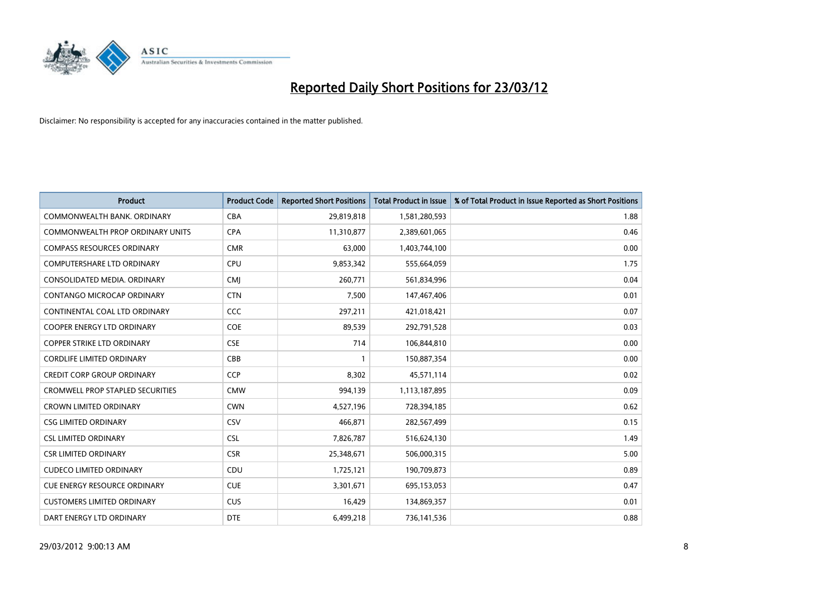

| <b>Product</b>                          | <b>Product Code</b> | <b>Reported Short Positions</b> | <b>Total Product in Issue</b> | % of Total Product in Issue Reported as Short Positions |
|-----------------------------------------|---------------------|---------------------------------|-------------------------------|---------------------------------------------------------|
| COMMONWEALTH BANK, ORDINARY             | <b>CBA</b>          | 29,819,818                      | 1,581,280,593                 | 1.88                                                    |
| <b>COMMONWEALTH PROP ORDINARY UNITS</b> | <b>CPA</b>          | 11,310,877                      | 2,389,601,065                 | 0.46                                                    |
| <b>COMPASS RESOURCES ORDINARY</b>       | <b>CMR</b>          | 63,000                          | 1,403,744,100                 | 0.00                                                    |
| <b>COMPUTERSHARE LTD ORDINARY</b>       | <b>CPU</b>          | 9,853,342                       | 555,664,059                   | 1.75                                                    |
| CONSOLIDATED MEDIA, ORDINARY            | <b>CMI</b>          | 260,771                         | 561,834,996                   | 0.04                                                    |
| CONTANGO MICROCAP ORDINARY              | <b>CTN</b>          | 7,500                           | 147,467,406                   | 0.01                                                    |
| CONTINENTAL COAL LTD ORDINARY           | CCC                 | 297,211                         | 421,018,421                   | 0.07                                                    |
| COOPER ENERGY LTD ORDINARY              | <b>COE</b>          | 89,539                          | 292,791,528                   | 0.03                                                    |
| <b>COPPER STRIKE LTD ORDINARY</b>       | <b>CSE</b>          | 714                             | 106,844,810                   | 0.00                                                    |
| <b>CORDLIFE LIMITED ORDINARY</b>        | CBB                 | $\mathbf{1}$                    | 150,887,354                   | 0.00                                                    |
| <b>CREDIT CORP GROUP ORDINARY</b>       | <b>CCP</b>          | 8,302                           | 45,571,114                    | 0.02                                                    |
| <b>CROMWELL PROP STAPLED SECURITIES</b> | <b>CMW</b>          | 994,139                         | 1,113,187,895                 | 0.09                                                    |
| <b>CROWN LIMITED ORDINARY</b>           | <b>CWN</b>          | 4,527,196                       | 728,394,185                   | 0.62                                                    |
| <b>CSG LIMITED ORDINARY</b>             | CSV                 | 466,871                         | 282,567,499                   | 0.15                                                    |
| <b>CSL LIMITED ORDINARY</b>             | <b>CSL</b>          | 7,826,787                       | 516,624,130                   | 1.49                                                    |
| <b>CSR LIMITED ORDINARY</b>             | <b>CSR</b>          | 25,348,671                      | 506,000,315                   | 5.00                                                    |
| <b>CUDECO LIMITED ORDINARY</b>          | CDU                 | 1,725,121                       | 190,709,873                   | 0.89                                                    |
| <b>CUE ENERGY RESOURCE ORDINARY</b>     | <b>CUE</b>          | 3,301,671                       | 695,153,053                   | 0.47                                                    |
| <b>CUSTOMERS LIMITED ORDINARY</b>       | <b>CUS</b>          | 16,429                          | 134,869,357                   | 0.01                                                    |
| DART ENERGY LTD ORDINARY                | <b>DTE</b>          | 6,499,218                       | 736,141,536                   | 0.88                                                    |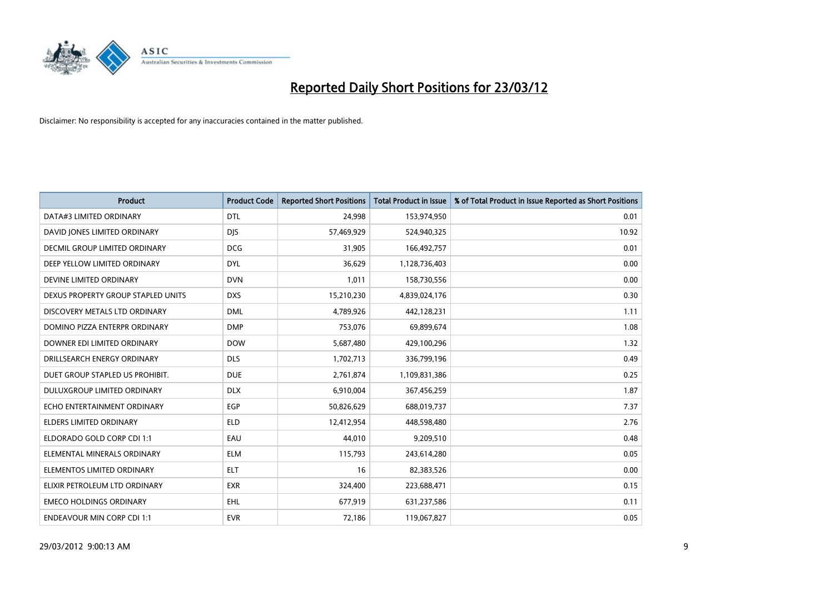

| <b>Product</b>                       | <b>Product Code</b> | <b>Reported Short Positions</b> | <b>Total Product in Issue</b> | % of Total Product in Issue Reported as Short Positions |
|--------------------------------------|---------------------|---------------------------------|-------------------------------|---------------------------------------------------------|
| DATA#3 LIMITED ORDINARY              | <b>DTL</b>          | 24,998                          | 153,974,950                   | 0.01                                                    |
| DAVID JONES LIMITED ORDINARY         | <b>DIS</b>          | 57,469,929                      | 524,940,325                   | 10.92                                                   |
| <b>DECMIL GROUP LIMITED ORDINARY</b> | <b>DCG</b>          | 31,905                          | 166,492,757                   | 0.01                                                    |
| DEEP YELLOW LIMITED ORDINARY         | <b>DYL</b>          | 36,629                          | 1,128,736,403                 | 0.00                                                    |
| DEVINE LIMITED ORDINARY              | <b>DVN</b>          | 1,011                           | 158,730,556                   | 0.00                                                    |
| DEXUS PROPERTY GROUP STAPLED UNITS   | <b>DXS</b>          | 15,210,230                      | 4,839,024,176                 | 0.30                                                    |
| DISCOVERY METALS LTD ORDINARY        | <b>DML</b>          | 4,789,926                       | 442,128,231                   | 1.11                                                    |
| DOMINO PIZZA ENTERPR ORDINARY        | <b>DMP</b>          | 753,076                         | 69,899,674                    | 1.08                                                    |
| DOWNER EDI LIMITED ORDINARY          | <b>DOW</b>          | 5,687,480                       | 429,100,296                   | 1.32                                                    |
| DRILLSEARCH ENERGY ORDINARY          | <b>DLS</b>          | 1,702,713                       | 336,799,196                   | 0.49                                                    |
| DUET GROUP STAPLED US PROHIBIT.      | <b>DUE</b>          | 2,761,874                       | 1,109,831,386                 | 0.25                                                    |
| <b>DULUXGROUP LIMITED ORDINARY</b>   | <b>DLX</b>          | 6,910,004                       | 367,456,259                   | 1.87                                                    |
| ECHO ENTERTAINMENT ORDINARY          | <b>EGP</b>          | 50,826,629                      | 688,019,737                   | 7.37                                                    |
| <b>ELDERS LIMITED ORDINARY</b>       | <b>ELD</b>          | 12,412,954                      | 448,598,480                   | 2.76                                                    |
| ELDORADO GOLD CORP CDI 1:1           | EAU                 | 44,010                          | 9,209,510                     | 0.48                                                    |
| ELEMENTAL MINERALS ORDINARY          | <b>ELM</b>          | 115,793                         | 243,614,280                   | 0.05                                                    |
| ELEMENTOS LIMITED ORDINARY           | <b>ELT</b>          | 16                              | 82,383,526                    | 0.00                                                    |
| ELIXIR PETROLEUM LTD ORDINARY        | <b>EXR</b>          | 324,400                         | 223,688,471                   | 0.15                                                    |
| <b>EMECO HOLDINGS ORDINARY</b>       | <b>EHL</b>          | 677,919                         | 631,237,586                   | 0.11                                                    |
| <b>ENDEAVOUR MIN CORP CDI 1:1</b>    | <b>EVR</b>          | 72,186                          | 119,067,827                   | 0.05                                                    |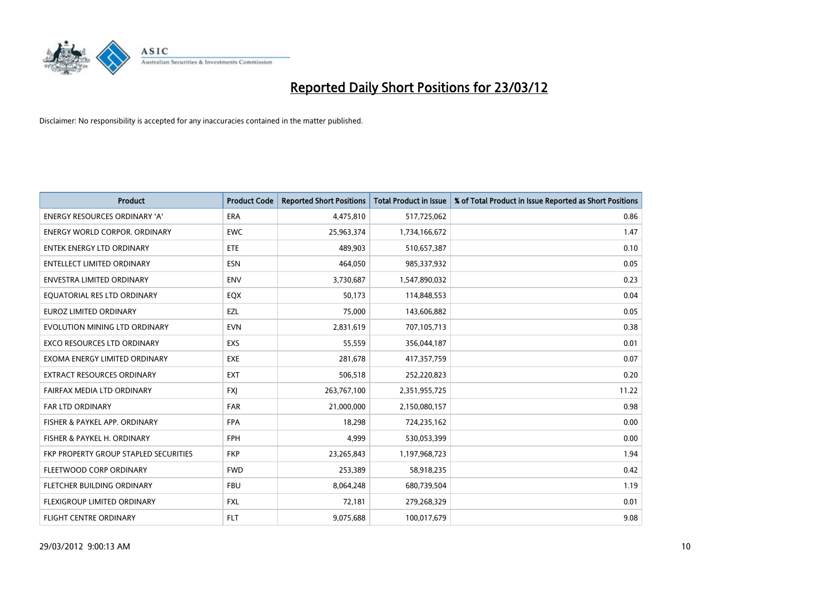

| <b>Product</b>                        | <b>Product Code</b> | <b>Reported Short Positions</b> | <b>Total Product in Issue</b> | % of Total Product in Issue Reported as Short Positions |
|---------------------------------------|---------------------|---------------------------------|-------------------------------|---------------------------------------------------------|
| <b>ENERGY RESOURCES ORDINARY 'A'</b>  | <b>ERA</b>          | 4,475,810                       | 517,725,062                   | 0.86                                                    |
| <b>ENERGY WORLD CORPOR. ORDINARY</b>  | <b>EWC</b>          | 25,963,374                      | 1,734,166,672                 | 1.47                                                    |
| <b>ENTEK ENERGY LTD ORDINARY</b>      | ETE                 | 489,903                         | 510,657,387                   | 0.10                                                    |
| <b>ENTELLECT LIMITED ORDINARY</b>     | <b>ESN</b>          | 464,050                         | 985,337,932                   | 0.05                                                    |
| <b>ENVESTRA LIMITED ORDINARY</b>      | <b>ENV</b>          | 3,730,687                       | 1,547,890,032                 | 0.23                                                    |
| EQUATORIAL RES LTD ORDINARY           | EQX                 | 50,173                          | 114,848,553                   | 0.04                                                    |
| <b>EUROZ LIMITED ORDINARY</b>         | EZL                 | 75,000                          | 143,606,882                   | 0.05                                                    |
| EVOLUTION MINING LTD ORDINARY         | <b>EVN</b>          | 2,831,619                       | 707,105,713                   | 0.38                                                    |
| <b>EXCO RESOURCES LTD ORDINARY</b>    | <b>EXS</b>          | 55,559                          | 356,044,187                   | 0.01                                                    |
| EXOMA ENERGY LIMITED ORDINARY         | EXE                 | 281,678                         | 417,357,759                   | 0.07                                                    |
| EXTRACT RESOURCES ORDINARY            | <b>EXT</b>          | 506,518                         | 252,220,823                   | 0.20                                                    |
| FAIRFAX MEDIA LTD ORDINARY            | <b>FXJ</b>          | 263,767,100                     | 2,351,955,725                 | 11.22                                                   |
| <b>FAR LTD ORDINARY</b>               | <b>FAR</b>          | 21,000,000                      | 2,150,080,157                 | 0.98                                                    |
| FISHER & PAYKEL APP. ORDINARY         | <b>FPA</b>          | 18,298                          | 724,235,162                   | 0.00                                                    |
| FISHER & PAYKEL H. ORDINARY           | <b>FPH</b>          | 4,999                           | 530,053,399                   | 0.00                                                    |
| FKP PROPERTY GROUP STAPLED SECURITIES | <b>FKP</b>          | 23,265,843                      | 1,197,968,723                 | 1.94                                                    |
| FLEETWOOD CORP ORDINARY               | <b>FWD</b>          | 253,389                         | 58,918,235                    | 0.42                                                    |
| FLETCHER BUILDING ORDINARY            | <b>FBU</b>          | 8,064,248                       | 680,739,504                   | 1.19                                                    |
| FLEXIGROUP LIMITED ORDINARY           | <b>FXL</b>          | 72,181                          | 279,268,329                   | 0.01                                                    |
| <b>FLIGHT CENTRE ORDINARY</b>         | <b>FLT</b>          | 9,075,688                       | 100,017,679                   | 9.08                                                    |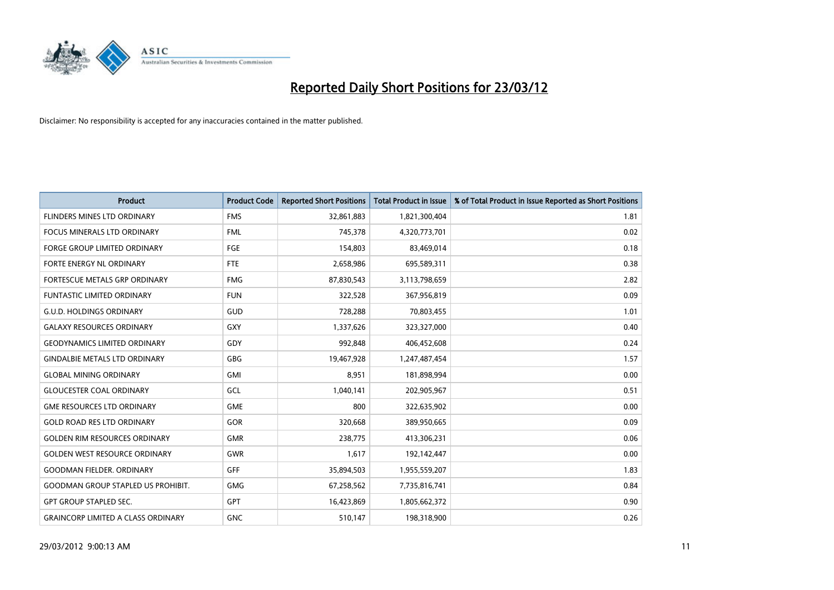

| <b>Product</b>                            | <b>Product Code</b> | <b>Reported Short Positions</b> | <b>Total Product in Issue</b> | % of Total Product in Issue Reported as Short Positions |
|-------------------------------------------|---------------------|---------------------------------|-------------------------------|---------------------------------------------------------|
| FLINDERS MINES LTD ORDINARY               | <b>FMS</b>          | 32,861,883                      | 1,821,300,404                 | 1.81                                                    |
| FOCUS MINERALS LTD ORDINARY               | <b>FML</b>          | 745,378                         | 4,320,773,701                 | 0.02                                                    |
| <b>FORGE GROUP LIMITED ORDINARY</b>       | FGE                 | 154,803                         | 83,469,014                    | 0.18                                                    |
| FORTE ENERGY NL ORDINARY                  | FTE                 | 2,658,986                       | 695,589,311                   | 0.38                                                    |
| FORTESCUE METALS GRP ORDINARY             | <b>FMG</b>          | 87,830,543                      | 3,113,798,659                 | 2.82                                                    |
| <b>FUNTASTIC LIMITED ORDINARY</b>         | <b>FUN</b>          | 322,528                         | 367,956,819                   | 0.09                                                    |
| <b>G.U.D. HOLDINGS ORDINARY</b>           | GUD                 | 728,288                         | 70,803,455                    | 1.01                                                    |
| <b>GALAXY RESOURCES ORDINARY</b>          | GXY                 | 1,337,626                       | 323,327,000                   | 0.40                                                    |
| <b>GEODYNAMICS LIMITED ORDINARY</b>       | GDY                 | 992,848                         | 406,452,608                   | 0.24                                                    |
| <b>GINDALBIE METALS LTD ORDINARY</b>      | GBG                 | 19,467,928                      | 1,247,487,454                 | 1.57                                                    |
| <b>GLOBAL MINING ORDINARY</b>             | GMI                 | 8,951                           | 181,898,994                   | 0.00                                                    |
| <b>GLOUCESTER COAL ORDINARY</b>           | GCL                 | 1,040,141                       | 202,905,967                   | 0.51                                                    |
| <b>GME RESOURCES LTD ORDINARY</b>         | <b>GME</b>          | 800                             | 322,635,902                   | 0.00                                                    |
| <b>GOLD ROAD RES LTD ORDINARY</b>         | GOR                 | 320,668                         | 389,950,665                   | 0.09                                                    |
| <b>GOLDEN RIM RESOURCES ORDINARY</b>      | <b>GMR</b>          | 238,775                         | 413,306,231                   | 0.06                                                    |
| <b>GOLDEN WEST RESOURCE ORDINARY</b>      | GWR                 | 1,617                           | 192,142,447                   | 0.00                                                    |
| <b>GOODMAN FIELDER. ORDINARY</b>          | <b>GFF</b>          | 35,894,503                      | 1,955,559,207                 | 1.83                                                    |
| <b>GOODMAN GROUP STAPLED US PROHIBIT.</b> | <b>GMG</b>          | 67,258,562                      | 7,735,816,741                 | 0.84                                                    |
| <b>GPT GROUP STAPLED SEC.</b>             | <b>GPT</b>          | 16,423,869                      | 1,805,662,372                 | 0.90                                                    |
| <b>GRAINCORP LIMITED A CLASS ORDINARY</b> | <b>GNC</b>          | 510,147                         | 198,318,900                   | 0.26                                                    |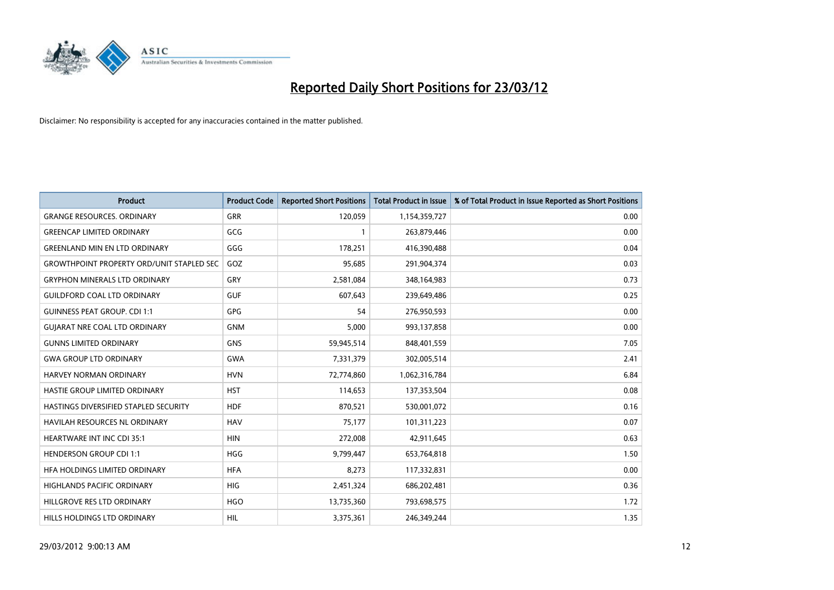

| <b>Product</b>                                   | <b>Product Code</b> | <b>Reported Short Positions</b> | <b>Total Product in Issue</b> | % of Total Product in Issue Reported as Short Positions |
|--------------------------------------------------|---------------------|---------------------------------|-------------------------------|---------------------------------------------------------|
| <b>GRANGE RESOURCES, ORDINARY</b>                | <b>GRR</b>          | 120,059                         | 1,154,359,727                 | 0.00                                                    |
| <b>GREENCAP LIMITED ORDINARY</b>                 | GCG                 | 1                               | 263,879,446                   | 0.00                                                    |
| <b>GREENLAND MIN EN LTD ORDINARY</b>             | GGG                 | 178,251                         | 416,390,488                   | 0.04                                                    |
| <b>GROWTHPOINT PROPERTY ORD/UNIT STAPLED SEC</b> | GOZ                 | 95,685                          | 291,904,374                   | 0.03                                                    |
| <b>GRYPHON MINERALS LTD ORDINARY</b>             | GRY                 | 2,581,084                       | 348,164,983                   | 0.73                                                    |
| <b>GUILDFORD COAL LTD ORDINARY</b>               | <b>GUF</b>          | 607,643                         | 239,649,486                   | 0.25                                                    |
| <b>GUINNESS PEAT GROUP. CDI 1:1</b>              | <b>GPG</b>          | 54                              | 276,950,593                   | 0.00                                                    |
| <b>GUIARAT NRE COAL LTD ORDINARY</b>             | <b>GNM</b>          | 5,000                           | 993,137,858                   | 0.00                                                    |
| <b>GUNNS LIMITED ORDINARY</b>                    | <b>GNS</b>          | 59,945,514                      | 848,401,559                   | 7.05                                                    |
| <b>GWA GROUP LTD ORDINARY</b>                    | <b>GWA</b>          | 7,331,379                       | 302,005,514                   | 2.41                                                    |
| HARVEY NORMAN ORDINARY                           | <b>HVN</b>          | 72,774,860                      | 1,062,316,784                 | 6.84                                                    |
| HASTIE GROUP LIMITED ORDINARY                    | <b>HST</b>          | 114,653                         | 137,353,504                   | 0.08                                                    |
| HASTINGS DIVERSIFIED STAPLED SECURITY            | <b>HDF</b>          | 870,521                         | 530,001,072                   | 0.16                                                    |
| <b>HAVILAH RESOURCES NL ORDINARY</b>             | <b>HAV</b>          | 75,177                          | 101,311,223                   | 0.07                                                    |
| <b>HEARTWARE INT INC CDI 35:1</b>                | <b>HIN</b>          | 272,008                         | 42,911,645                    | 0.63                                                    |
| <b>HENDERSON GROUP CDI 1:1</b>                   | <b>HGG</b>          | 9,799,447                       | 653,764,818                   | 1.50                                                    |
| HFA HOLDINGS LIMITED ORDINARY                    | <b>HFA</b>          | 8,273                           | 117,332,831                   | 0.00                                                    |
| HIGHLANDS PACIFIC ORDINARY                       | <b>HIG</b>          | 2,451,324                       | 686,202,481                   | 0.36                                                    |
| HILLGROVE RES LTD ORDINARY                       | <b>HGO</b>          | 13,735,360                      | 793,698,575                   | 1.72                                                    |
| HILLS HOLDINGS LTD ORDINARY                      | HIL                 | 3,375,361                       | 246,349,244                   | 1.35                                                    |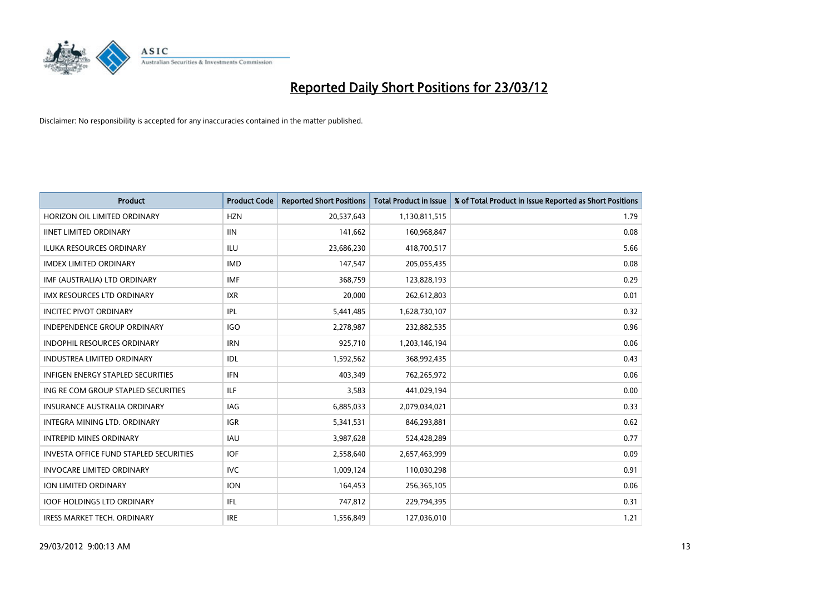

| <b>Product</b>                                | <b>Product Code</b> | <b>Reported Short Positions</b> | <b>Total Product in Issue</b> | % of Total Product in Issue Reported as Short Positions |
|-----------------------------------------------|---------------------|---------------------------------|-------------------------------|---------------------------------------------------------|
| HORIZON OIL LIMITED ORDINARY                  | <b>HZN</b>          | 20,537,643                      | 1,130,811,515                 | 1.79                                                    |
| <b>IINET LIMITED ORDINARY</b>                 | <b>IIN</b>          | 141,662                         | 160,968,847                   | 0.08                                                    |
| <b>ILUKA RESOURCES ORDINARY</b>               | ILU.                | 23,686,230                      | 418,700,517                   | 5.66                                                    |
| <b>IMDEX LIMITED ORDINARY</b>                 | <b>IMD</b>          | 147,547                         | 205,055,435                   | 0.08                                                    |
| IMF (AUSTRALIA) LTD ORDINARY                  | <b>IMF</b>          | 368,759                         | 123,828,193                   | 0.29                                                    |
| <b>IMX RESOURCES LTD ORDINARY</b>             | <b>IXR</b>          | 20,000                          | 262,612,803                   | 0.01                                                    |
| <b>INCITEC PIVOT ORDINARY</b>                 | IPL                 | 5,441,485                       | 1,628,730,107                 | 0.32                                                    |
| <b>INDEPENDENCE GROUP ORDINARY</b>            | <b>IGO</b>          | 2,278,987                       | 232,882,535                   | 0.96                                                    |
| <b>INDOPHIL RESOURCES ORDINARY</b>            | <b>IRN</b>          | 925,710                         | 1,203,146,194                 | 0.06                                                    |
| <b>INDUSTREA LIMITED ORDINARY</b>             | IDL                 | 1,592,562                       | 368,992,435                   | 0.43                                                    |
| <b>INFIGEN ENERGY STAPLED SECURITIES</b>      | <b>IFN</b>          | 403,349                         | 762,265,972                   | 0.06                                                    |
| ING RE COM GROUP STAPLED SECURITIES           | ILF.                | 3,583                           | 441,029,194                   | 0.00                                                    |
| <b>INSURANCE AUSTRALIA ORDINARY</b>           | <b>IAG</b>          | 6,885,033                       | 2,079,034,021                 | 0.33                                                    |
| INTEGRA MINING LTD, ORDINARY                  | <b>IGR</b>          | 5,341,531                       | 846,293,881                   | 0.62                                                    |
| <b>INTREPID MINES ORDINARY</b>                | <b>IAU</b>          | 3,987,628                       | 524,428,289                   | 0.77                                                    |
| <b>INVESTA OFFICE FUND STAPLED SECURITIES</b> | <b>IOF</b>          | 2,558,640                       | 2,657,463,999                 | 0.09                                                    |
| <b>INVOCARE LIMITED ORDINARY</b>              | <b>IVC</b>          | 1,009,124                       | 110,030,298                   | 0.91                                                    |
| ION LIMITED ORDINARY                          | <b>ION</b>          | 164,453                         | 256,365,105                   | 0.06                                                    |
| <b>IOOF HOLDINGS LTD ORDINARY</b>             | IFL                 | 747,812                         | 229,794,395                   | 0.31                                                    |
| <b>IRESS MARKET TECH. ORDINARY</b>            | <b>IRE</b>          | 1,556,849                       | 127,036,010                   | 1.21                                                    |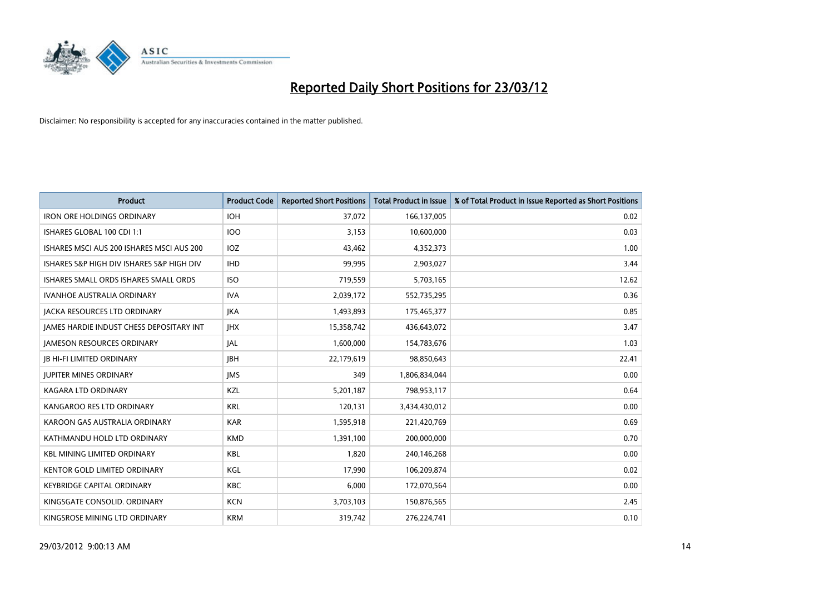

| <b>Product</b>                            | <b>Product Code</b> | <b>Reported Short Positions</b> | <b>Total Product in Issue</b> | % of Total Product in Issue Reported as Short Positions |
|-------------------------------------------|---------------------|---------------------------------|-------------------------------|---------------------------------------------------------|
| <b>IRON ORE HOLDINGS ORDINARY</b>         | <b>IOH</b>          | 37,072                          | 166,137,005                   | 0.02                                                    |
| ISHARES GLOBAL 100 CDI 1:1                | 100                 | 3,153                           | 10,600,000                    | 0.03                                                    |
| ISHARES MSCI AUS 200 ISHARES MSCI AUS 200 | IOZ                 | 43,462                          | 4,352,373                     | 1.00                                                    |
| ISHARES S&P HIGH DIV ISHARES S&P HIGH DIV | <b>IHD</b>          | 99,995                          | 2,903,027                     | 3.44                                                    |
| ISHARES SMALL ORDS ISHARES SMALL ORDS     | <b>ISO</b>          | 719,559                         | 5,703,165                     | 12.62                                                   |
| <b>IVANHOE AUSTRALIA ORDINARY</b>         | <b>IVA</b>          | 2,039,172                       | 552,735,295                   | 0.36                                                    |
| <b>JACKA RESOURCES LTD ORDINARY</b>       | <b>JKA</b>          | 1,493,893                       | 175,465,377                   | 0.85                                                    |
| JAMES HARDIE INDUST CHESS DEPOSITARY INT  | <b>IHX</b>          | 15,358,742                      | 436,643,072                   | 3.47                                                    |
| <b>JAMESON RESOURCES ORDINARY</b>         | <b>JAL</b>          | 1,600,000                       | 154,783,676                   | 1.03                                                    |
| <b>JB HI-FI LIMITED ORDINARY</b>          | <b>JBH</b>          | 22,179,619                      | 98,850,643                    | 22.41                                                   |
| <b>JUPITER MINES ORDINARY</b>             | <b>IMS</b>          | 349                             | 1,806,834,044                 | 0.00                                                    |
| <b>KAGARA LTD ORDINARY</b>                | KZL                 | 5,201,187                       | 798,953,117                   | 0.64                                                    |
| KANGAROO RES LTD ORDINARY                 | <b>KRL</b>          | 120,131                         | 3,434,430,012                 | 0.00                                                    |
| KAROON GAS AUSTRALIA ORDINARY             | <b>KAR</b>          | 1,595,918                       | 221,420,769                   | 0.69                                                    |
| KATHMANDU HOLD LTD ORDINARY               | <b>KMD</b>          | 1,391,100                       | 200,000,000                   | 0.70                                                    |
| <b>KBL MINING LIMITED ORDINARY</b>        | KBL                 | 1,820                           | 240,146,268                   | 0.00                                                    |
| KENTOR GOLD LIMITED ORDINARY              | KGL                 | 17,990                          | 106,209,874                   | 0.02                                                    |
| <b>KEYBRIDGE CAPITAL ORDINARY</b>         | <b>KBC</b>          | 6,000                           | 172,070,564                   | 0.00                                                    |
| KINGSGATE CONSOLID. ORDINARY              | <b>KCN</b>          | 3,703,103                       | 150,876,565                   | 2.45                                                    |
| KINGSROSE MINING LTD ORDINARY             | <b>KRM</b>          | 319,742                         | 276,224,741                   | 0.10                                                    |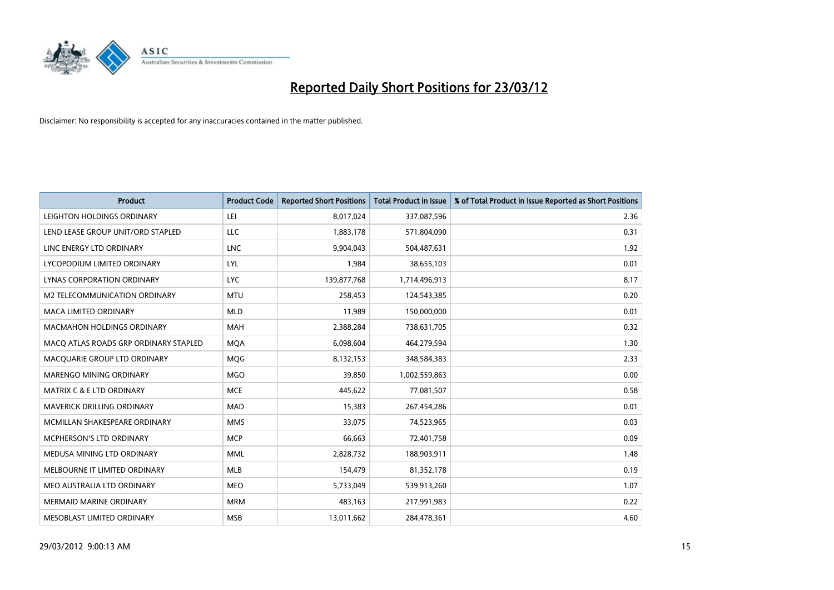

| <b>Product</b>                        | <b>Product Code</b> | <b>Reported Short Positions</b> | <b>Total Product in Issue</b> | % of Total Product in Issue Reported as Short Positions |
|---------------------------------------|---------------------|---------------------------------|-------------------------------|---------------------------------------------------------|
| LEIGHTON HOLDINGS ORDINARY            | LEI                 | 8,017,024                       | 337,087,596                   | 2.36                                                    |
| LEND LEASE GROUP UNIT/ORD STAPLED     | LLC                 | 1,883,178                       | 571,804,090                   | 0.31                                                    |
| LINC ENERGY LTD ORDINARY              | <b>LNC</b>          | 9,904,043                       | 504,487,631                   | 1.92                                                    |
| LYCOPODIUM LIMITED ORDINARY           | <b>LYL</b>          | 1,984                           | 38,655,103                    | 0.01                                                    |
| LYNAS CORPORATION ORDINARY            | <b>LYC</b>          | 139,877,768                     | 1,714,496,913                 | 8.17                                                    |
| M2 TELECOMMUNICATION ORDINARY         | <b>MTU</b>          | 258,453                         | 124,543,385                   | 0.20                                                    |
| <b>MACA LIMITED ORDINARY</b>          | <b>MLD</b>          | 11,989                          | 150,000,000                   | 0.01                                                    |
| <b>MACMAHON HOLDINGS ORDINARY</b>     | <b>MAH</b>          | 2,388,284                       | 738,631,705                   | 0.32                                                    |
| MACO ATLAS ROADS GRP ORDINARY STAPLED | <b>MOA</b>          | 6,098,604                       | 464,279,594                   | 1.30                                                    |
| MACQUARIE GROUP LTD ORDINARY          | <b>MOG</b>          | 8,132,153                       | 348,584,383                   | 2.33                                                    |
| MARENGO MINING ORDINARY               | <b>MGO</b>          | 39,850                          | 1,002,559,863                 | 0.00                                                    |
| <b>MATRIX C &amp; E LTD ORDINARY</b>  | <b>MCE</b>          | 445,622                         | 77,081,507                    | 0.58                                                    |
| MAVERICK DRILLING ORDINARY            | <b>MAD</b>          | 15,383                          | 267,454,286                   | 0.01                                                    |
| MCMILLAN SHAKESPEARE ORDINARY         | <b>MMS</b>          | 33,075                          | 74,523,965                    | 0.03                                                    |
| MCPHERSON'S LTD ORDINARY              | <b>MCP</b>          | 66,663                          | 72,401,758                    | 0.09                                                    |
| MEDUSA MINING LTD ORDINARY            | <b>MML</b>          | 2,828,732                       | 188,903,911                   | 1.48                                                    |
| MELBOURNE IT LIMITED ORDINARY         | MLB                 | 154,479                         | 81,352,178                    | 0.19                                                    |
| MEO AUSTRALIA LTD ORDINARY            | <b>MEO</b>          | 5,733,049                       | 539,913,260                   | 1.07                                                    |
| <b>MERMAID MARINE ORDINARY</b>        | <b>MRM</b>          | 483,163                         | 217,991,983                   | 0.22                                                    |
| MESOBLAST LIMITED ORDINARY            | <b>MSB</b>          | 13,011,662                      | 284,478,361                   | 4.60                                                    |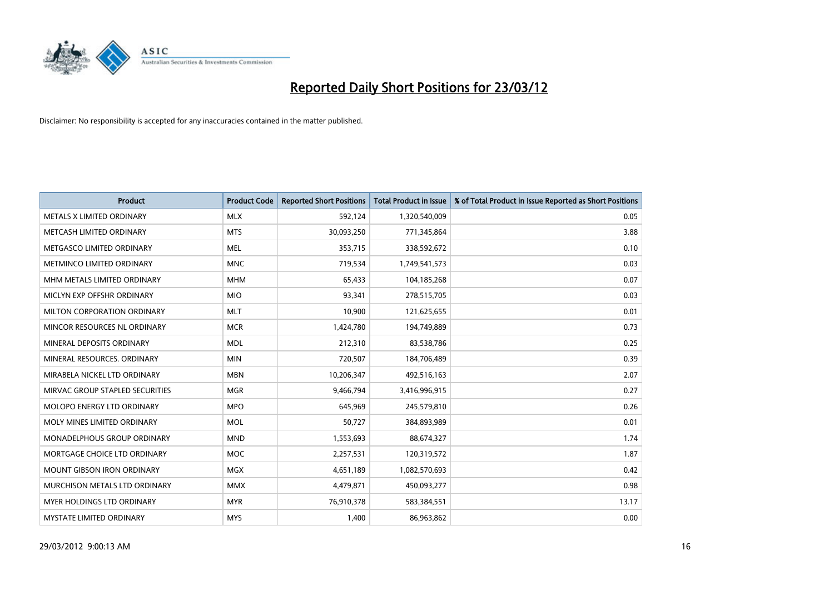

| <b>Product</b>                  | <b>Product Code</b> | <b>Reported Short Positions</b> | <b>Total Product in Issue</b> | % of Total Product in Issue Reported as Short Positions |
|---------------------------------|---------------------|---------------------------------|-------------------------------|---------------------------------------------------------|
| METALS X LIMITED ORDINARY       | <b>MLX</b>          | 592,124                         | 1,320,540,009                 | 0.05                                                    |
| METCASH LIMITED ORDINARY        | <b>MTS</b>          | 30,093,250                      | 771,345,864                   | 3.88                                                    |
| METGASCO LIMITED ORDINARY       | <b>MEL</b>          | 353,715                         | 338,592,672                   | 0.10                                                    |
| METMINCO LIMITED ORDINARY       | <b>MNC</b>          | 719,534                         | 1,749,541,573                 | 0.03                                                    |
| MHM METALS LIMITED ORDINARY     | <b>MHM</b>          | 65,433                          | 104,185,268                   | 0.07                                                    |
| MICLYN EXP OFFSHR ORDINARY      | <b>MIO</b>          | 93,341                          | 278,515,705                   | 0.03                                                    |
| MILTON CORPORATION ORDINARY     | <b>MLT</b>          | 10,900                          | 121,625,655                   | 0.01                                                    |
| MINCOR RESOURCES NL ORDINARY    | <b>MCR</b>          | 1,424,780                       | 194,749,889                   | 0.73                                                    |
| MINERAL DEPOSITS ORDINARY       | <b>MDL</b>          | 212,310                         | 83,538,786                    | 0.25                                                    |
| MINERAL RESOURCES, ORDINARY     | <b>MIN</b>          | 720,507                         | 184,706,489                   | 0.39                                                    |
| MIRABELA NICKEL LTD ORDINARY    | <b>MBN</b>          | 10,206,347                      | 492,516,163                   | 2.07                                                    |
| MIRVAC GROUP STAPLED SECURITIES | <b>MGR</b>          | 9,466,794                       | 3,416,996,915                 | 0.27                                                    |
| MOLOPO ENERGY LTD ORDINARY      | <b>MPO</b>          | 645,969                         | 245,579,810                   | 0.26                                                    |
| MOLY MINES LIMITED ORDINARY     | <b>MOL</b>          | 50,727                          | 384,893,989                   | 0.01                                                    |
| MONADELPHOUS GROUP ORDINARY     | <b>MND</b>          | 1,553,693                       | 88,674,327                    | 1.74                                                    |
| MORTGAGE CHOICE LTD ORDINARY    | <b>MOC</b>          | 2,257,531                       | 120,319,572                   | 1.87                                                    |
| MOUNT GIBSON IRON ORDINARY      | <b>MGX</b>          | 4,651,189                       | 1,082,570,693                 | 0.42                                                    |
| MURCHISON METALS LTD ORDINARY   | <b>MMX</b>          | 4,479,871                       | 450,093,277                   | 0.98                                                    |
| MYER HOLDINGS LTD ORDINARY      | <b>MYR</b>          | 76,910,378                      | 583,384,551                   | 13.17                                                   |
| <b>MYSTATE LIMITED ORDINARY</b> | <b>MYS</b>          | 1,400                           | 86,963,862                    | 0.00                                                    |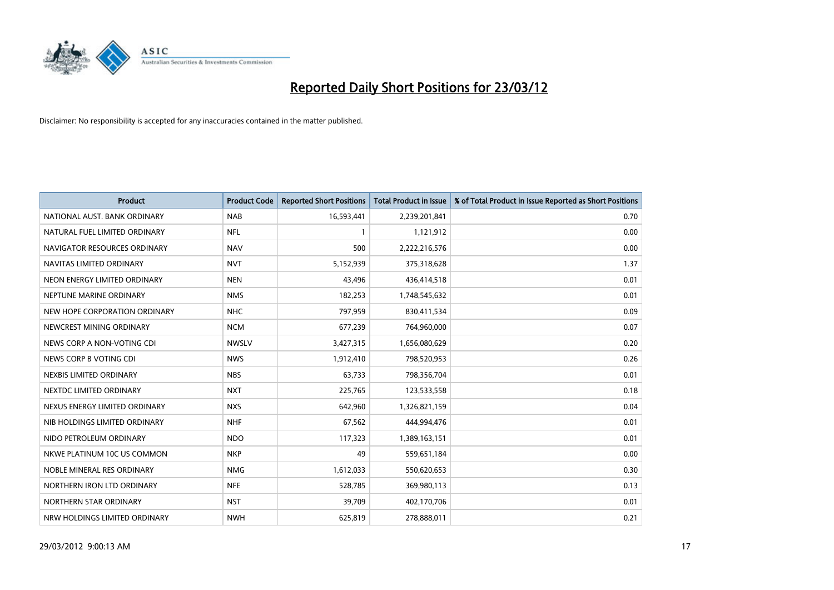

| <b>Product</b>                | <b>Product Code</b> | <b>Reported Short Positions</b> | <b>Total Product in Issue</b> | % of Total Product in Issue Reported as Short Positions |
|-------------------------------|---------------------|---------------------------------|-------------------------------|---------------------------------------------------------|
| NATIONAL AUST, BANK ORDINARY  | <b>NAB</b>          | 16,593,441                      | 2,239,201,841                 | 0.70                                                    |
| NATURAL FUEL LIMITED ORDINARY | <b>NFL</b>          |                                 | 1,121,912                     | 0.00                                                    |
| NAVIGATOR RESOURCES ORDINARY  | <b>NAV</b>          | 500                             | 2,222,216,576                 | 0.00                                                    |
| NAVITAS LIMITED ORDINARY      | <b>NVT</b>          | 5,152,939                       | 375,318,628                   | 1.37                                                    |
| NEON ENERGY LIMITED ORDINARY  | <b>NEN</b>          | 43,496                          | 436,414,518                   | 0.01                                                    |
| NEPTUNE MARINE ORDINARY       | <b>NMS</b>          | 182,253                         | 1,748,545,632                 | 0.01                                                    |
| NEW HOPE CORPORATION ORDINARY | <b>NHC</b>          | 797,959                         | 830,411,534                   | 0.09                                                    |
| NEWCREST MINING ORDINARY      | <b>NCM</b>          | 677,239                         | 764,960,000                   | 0.07                                                    |
| NEWS CORP A NON-VOTING CDI    | <b>NWSLV</b>        | 3,427,315                       | 1,656,080,629                 | 0.20                                                    |
| NEWS CORP B VOTING CDI        | <b>NWS</b>          | 1,912,410                       | 798,520,953                   | 0.26                                                    |
| NEXBIS LIMITED ORDINARY       | <b>NBS</b>          | 63,733                          | 798,356,704                   | 0.01                                                    |
| NEXTDC LIMITED ORDINARY       | <b>NXT</b>          | 225,765                         | 123,533,558                   | 0.18                                                    |
| NEXUS ENERGY LIMITED ORDINARY | <b>NXS</b>          | 642,960                         | 1,326,821,159                 | 0.04                                                    |
| NIB HOLDINGS LIMITED ORDINARY | <b>NHF</b>          | 67,562                          | 444,994,476                   | 0.01                                                    |
| NIDO PETROLEUM ORDINARY       | <b>NDO</b>          | 117,323                         | 1,389,163,151                 | 0.01                                                    |
| NKWE PLATINUM 10C US COMMON   | <b>NKP</b>          | 49                              | 559,651,184                   | 0.00                                                    |
| NOBLE MINERAL RES ORDINARY    | <b>NMG</b>          | 1,612,033                       | 550,620,653                   | 0.30                                                    |
| NORTHERN IRON LTD ORDINARY    | <b>NFE</b>          | 528,785                         | 369,980,113                   | 0.13                                                    |
| NORTHERN STAR ORDINARY        | <b>NST</b>          | 39,709                          | 402,170,706                   | 0.01                                                    |
| NRW HOLDINGS LIMITED ORDINARY | <b>NWH</b>          | 625,819                         | 278,888,011                   | 0.21                                                    |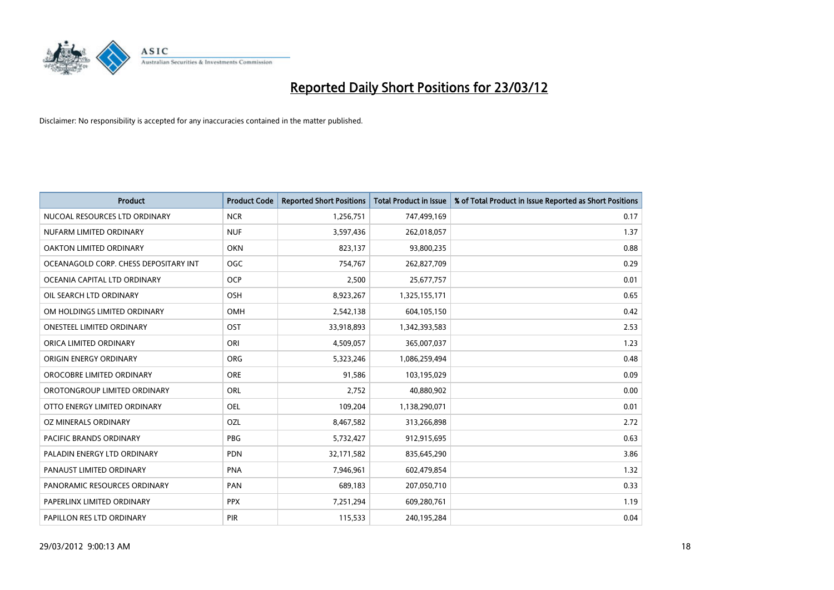

| <b>Product</b>                        | <b>Product Code</b> | <b>Reported Short Positions</b> | <b>Total Product in Issue</b> | % of Total Product in Issue Reported as Short Positions |
|---------------------------------------|---------------------|---------------------------------|-------------------------------|---------------------------------------------------------|
| NUCOAL RESOURCES LTD ORDINARY         | <b>NCR</b>          | 1,256,751                       | 747,499,169                   | 0.17                                                    |
| NUFARM LIMITED ORDINARY               | <b>NUF</b>          | 3,597,436                       | 262,018,057                   | 1.37                                                    |
| OAKTON LIMITED ORDINARY               | <b>OKN</b>          | 823,137                         | 93,800,235                    | 0.88                                                    |
| OCEANAGOLD CORP. CHESS DEPOSITARY INT | <b>OGC</b>          | 754,767                         | 262,827,709                   | 0.29                                                    |
| OCEANIA CAPITAL LTD ORDINARY          | <b>OCP</b>          | 2,500                           | 25,677,757                    | 0.01                                                    |
| OIL SEARCH LTD ORDINARY               | OSH                 | 8,923,267                       | 1,325,155,171                 | 0.65                                                    |
| OM HOLDINGS LIMITED ORDINARY          | OMH                 | 2,542,138                       | 604,105,150                   | 0.42                                                    |
| ONESTEEL LIMITED ORDINARY             | OST                 | 33,918,893                      | 1,342,393,583                 | 2.53                                                    |
| ORICA LIMITED ORDINARY                | ORI                 | 4,509,057                       | 365,007,037                   | 1.23                                                    |
| ORIGIN ENERGY ORDINARY                | <b>ORG</b>          | 5,323,246                       | 1,086,259,494                 | 0.48                                                    |
| OROCOBRE LIMITED ORDINARY             | <b>ORE</b>          | 91,586                          | 103,195,029                   | 0.09                                                    |
| OROTONGROUP LIMITED ORDINARY          | <b>ORL</b>          | 2,752                           | 40,880,902                    | 0.00                                                    |
| OTTO ENERGY LIMITED ORDINARY          | <b>OEL</b>          | 109,204                         | 1,138,290,071                 | 0.01                                                    |
| <b>OZ MINERALS ORDINARY</b>           | OZL                 | 8,467,582                       | 313,266,898                   | 2.72                                                    |
| <b>PACIFIC BRANDS ORDINARY</b>        | <b>PBG</b>          | 5,732,427                       | 912,915,695                   | 0.63                                                    |
| PALADIN ENERGY LTD ORDINARY           | <b>PDN</b>          | 32,171,582                      | 835,645,290                   | 3.86                                                    |
| PANAUST LIMITED ORDINARY              | <b>PNA</b>          | 7,946,961                       | 602,479,854                   | 1.32                                                    |
| PANORAMIC RESOURCES ORDINARY          | PAN                 | 689,183                         | 207,050,710                   | 0.33                                                    |
| PAPERLINX LIMITED ORDINARY            | <b>PPX</b>          | 7,251,294                       | 609,280,761                   | 1.19                                                    |
| PAPILLON RES LTD ORDINARY             | <b>PIR</b>          | 115,533                         | 240,195,284                   | 0.04                                                    |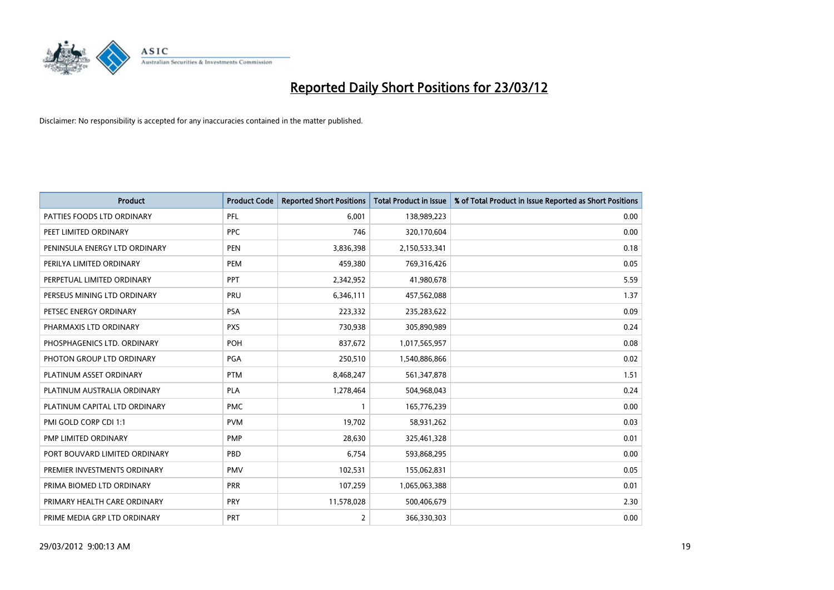

| <b>Product</b>                | <b>Product Code</b> | <b>Reported Short Positions</b> | Total Product in Issue | % of Total Product in Issue Reported as Short Positions |
|-------------------------------|---------------------|---------------------------------|------------------------|---------------------------------------------------------|
| PATTIES FOODS LTD ORDINARY    | PFL                 | 6,001                           | 138,989,223            | 0.00                                                    |
| PEET LIMITED ORDINARY         | <b>PPC</b>          | 746                             | 320,170,604            | 0.00                                                    |
| PENINSULA ENERGY LTD ORDINARY | <b>PEN</b>          | 3,836,398                       | 2,150,533,341          | 0.18                                                    |
| PERILYA LIMITED ORDINARY      | PEM                 | 459,380                         | 769,316,426            | 0.05                                                    |
| PERPETUAL LIMITED ORDINARY    | PPT                 | 2,342,952                       | 41,980,678             | 5.59                                                    |
| PERSEUS MINING LTD ORDINARY   | PRU                 | 6,346,111                       | 457,562,088            | 1.37                                                    |
| PETSEC ENERGY ORDINARY        | <b>PSA</b>          | 223,332                         | 235,283,622            | 0.09                                                    |
| PHARMAXIS LTD ORDINARY        | <b>PXS</b>          | 730,938                         | 305,890,989            | 0.24                                                    |
| PHOSPHAGENICS LTD. ORDINARY   | <b>POH</b>          | 837,672                         | 1,017,565,957          | 0.08                                                    |
| PHOTON GROUP LTD ORDINARY     | PGA                 | 250,510                         | 1,540,886,866          | 0.02                                                    |
| PLATINUM ASSET ORDINARY       | <b>PTM</b>          | 8,468,247                       | 561,347,878            | 1.51                                                    |
| PLATINUM AUSTRALIA ORDINARY   | <b>PLA</b>          | 1,278,464                       | 504,968,043            | 0.24                                                    |
| PLATINUM CAPITAL LTD ORDINARY | <b>PMC</b>          | $\mathbf{1}$                    | 165,776,239            | 0.00                                                    |
| PMI GOLD CORP CDI 1:1         | <b>PVM</b>          | 19,702                          | 58,931,262             | 0.03                                                    |
| PMP LIMITED ORDINARY          | <b>PMP</b>          | 28,630                          | 325,461,328            | 0.01                                                    |
| PORT BOUVARD LIMITED ORDINARY | PBD                 | 6,754                           | 593,868,295            | 0.00                                                    |
| PREMIER INVESTMENTS ORDINARY  | <b>PMV</b>          | 102,531                         | 155,062,831            | 0.05                                                    |
| PRIMA BIOMED LTD ORDINARY     | <b>PRR</b>          | 107,259                         | 1,065,063,388          | 0.01                                                    |
| PRIMARY HEALTH CARE ORDINARY  | <b>PRY</b>          | 11,578,028                      | 500,406,679            | 2.30                                                    |
| PRIME MEDIA GRP LTD ORDINARY  | <b>PRT</b>          | $\overline{2}$                  | 366,330,303            | 0.00                                                    |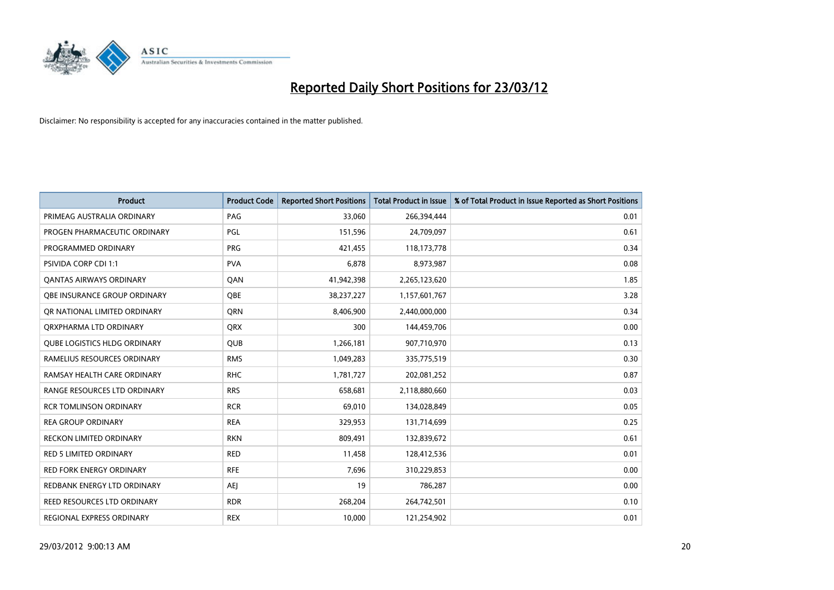

| <b>Product</b>                      | <b>Product Code</b> | <b>Reported Short Positions</b> | <b>Total Product in Issue</b> | % of Total Product in Issue Reported as Short Positions |
|-------------------------------------|---------------------|---------------------------------|-------------------------------|---------------------------------------------------------|
| PRIMEAG AUSTRALIA ORDINARY          | PAG                 | 33,060                          | 266,394,444                   | 0.01                                                    |
| PROGEN PHARMACEUTIC ORDINARY        | PGL                 | 151,596                         | 24,709,097                    | 0.61                                                    |
| PROGRAMMED ORDINARY                 | <b>PRG</b>          | 421,455                         | 118,173,778                   | 0.34                                                    |
| PSIVIDA CORP CDI 1:1                | <b>PVA</b>          | 6,878                           | 8,973,987                     | 0.08                                                    |
| OANTAS AIRWAYS ORDINARY             | QAN                 | 41,942,398                      | 2,265,123,620                 | 1.85                                                    |
| OBE INSURANCE GROUP ORDINARY        | <b>OBE</b>          | 38,237,227                      | 1,157,601,767                 | 3.28                                                    |
| OR NATIONAL LIMITED ORDINARY        | <b>ORN</b>          | 8,406,900                       | 2,440,000,000                 | 0.34                                                    |
| ORXPHARMA LTD ORDINARY              | <b>QRX</b>          | 300                             | 144,459,706                   | 0.00                                                    |
| <b>OUBE LOGISTICS HLDG ORDINARY</b> | <b>QUB</b>          | 1,266,181                       | 907,710,970                   | 0.13                                                    |
| RAMELIUS RESOURCES ORDINARY         | <b>RMS</b>          | 1,049,283                       | 335,775,519                   | 0.30                                                    |
| RAMSAY HEALTH CARE ORDINARY         | <b>RHC</b>          | 1,781,727                       | 202,081,252                   | 0.87                                                    |
| RANGE RESOURCES LTD ORDINARY        | <b>RRS</b>          | 658,681                         | 2,118,880,660                 | 0.03                                                    |
| <b>RCR TOMLINSON ORDINARY</b>       | <b>RCR</b>          | 69,010                          | 134,028,849                   | 0.05                                                    |
| <b>REA GROUP ORDINARY</b>           | <b>REA</b>          | 329,953                         | 131,714,699                   | 0.25                                                    |
| <b>RECKON LIMITED ORDINARY</b>      | <b>RKN</b>          | 809,491                         | 132,839,672                   | 0.61                                                    |
| RED 5 LIMITED ORDINARY              | <b>RED</b>          | 11,458                          | 128,412,536                   | 0.01                                                    |
| RED FORK ENERGY ORDINARY            | <b>RFE</b>          | 7,696                           | 310,229,853                   | 0.00                                                    |
| REDBANK ENERGY LTD ORDINARY         | AEJ                 | 19                              | 786,287                       | 0.00                                                    |
| <b>REED RESOURCES LTD ORDINARY</b>  | <b>RDR</b>          | 268,204                         | 264,742,501                   | 0.10                                                    |
| REGIONAL EXPRESS ORDINARY           | <b>REX</b>          | 10,000                          | 121,254,902                   | 0.01                                                    |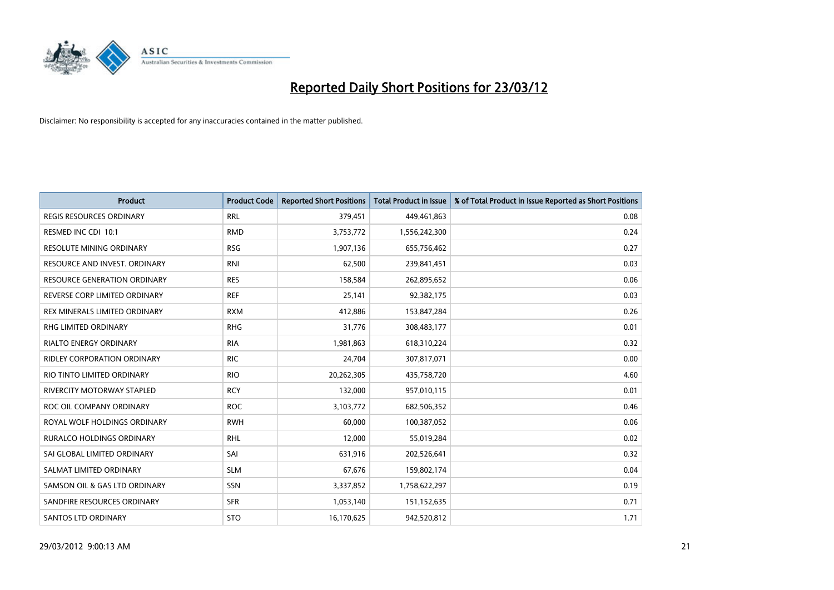

| <b>Product</b>                      | <b>Product Code</b> | <b>Reported Short Positions</b> | <b>Total Product in Issue</b> | % of Total Product in Issue Reported as Short Positions |
|-------------------------------------|---------------------|---------------------------------|-------------------------------|---------------------------------------------------------|
| <b>REGIS RESOURCES ORDINARY</b>     | <b>RRL</b>          | 379,451                         | 449,461,863                   | 0.08                                                    |
| RESMED INC CDI 10:1                 | <b>RMD</b>          | 3,753,772                       | 1,556,242,300                 | 0.24                                                    |
| <b>RESOLUTE MINING ORDINARY</b>     | <b>RSG</b>          | 1,907,136                       | 655,756,462                   | 0.27                                                    |
| RESOURCE AND INVEST. ORDINARY       | <b>RNI</b>          | 62,500                          | 239,841,451                   | 0.03                                                    |
| <b>RESOURCE GENERATION ORDINARY</b> | <b>RES</b>          | 158,584                         | 262,895,652                   | 0.06                                                    |
| REVERSE CORP LIMITED ORDINARY       | <b>REF</b>          | 25,141                          | 92,382,175                    | 0.03                                                    |
| REX MINERALS LIMITED ORDINARY       | <b>RXM</b>          | 412,886                         | 153,847,284                   | 0.26                                                    |
| RHG LIMITED ORDINARY                | <b>RHG</b>          | 31,776                          | 308,483,177                   | 0.01                                                    |
| <b>RIALTO ENERGY ORDINARY</b>       | <b>RIA</b>          | 1,981,863                       | 618,310,224                   | 0.32                                                    |
| <b>RIDLEY CORPORATION ORDINARY</b>  | <b>RIC</b>          | 24,704                          | 307,817,071                   | 0.00                                                    |
| RIO TINTO LIMITED ORDINARY          | <b>RIO</b>          | 20,262,305                      | 435,758,720                   | 4.60                                                    |
| <b>RIVERCITY MOTORWAY STAPLED</b>   | <b>RCY</b>          | 132,000                         | 957,010,115                   | 0.01                                                    |
| ROC OIL COMPANY ORDINARY            | <b>ROC</b>          | 3,103,772                       | 682,506,352                   | 0.46                                                    |
| ROYAL WOLF HOLDINGS ORDINARY        | <b>RWH</b>          | 60,000                          | 100,387,052                   | 0.06                                                    |
| <b>RURALCO HOLDINGS ORDINARY</b>    | <b>RHL</b>          | 12,000                          | 55,019,284                    | 0.02                                                    |
| SAI GLOBAL LIMITED ORDINARY         | SAI                 | 631,916                         | 202,526,641                   | 0.32                                                    |
| SALMAT LIMITED ORDINARY             | <b>SLM</b>          | 67,676                          | 159,802,174                   | 0.04                                                    |
| SAMSON OIL & GAS LTD ORDINARY       | <b>SSN</b>          | 3,337,852                       | 1,758,622,297                 | 0.19                                                    |
| SANDFIRE RESOURCES ORDINARY         | <b>SFR</b>          | 1,053,140                       | 151,152,635                   | 0.71                                                    |
| <b>SANTOS LTD ORDINARY</b>          | <b>STO</b>          | 16,170,625                      | 942,520,812                   | 1.71                                                    |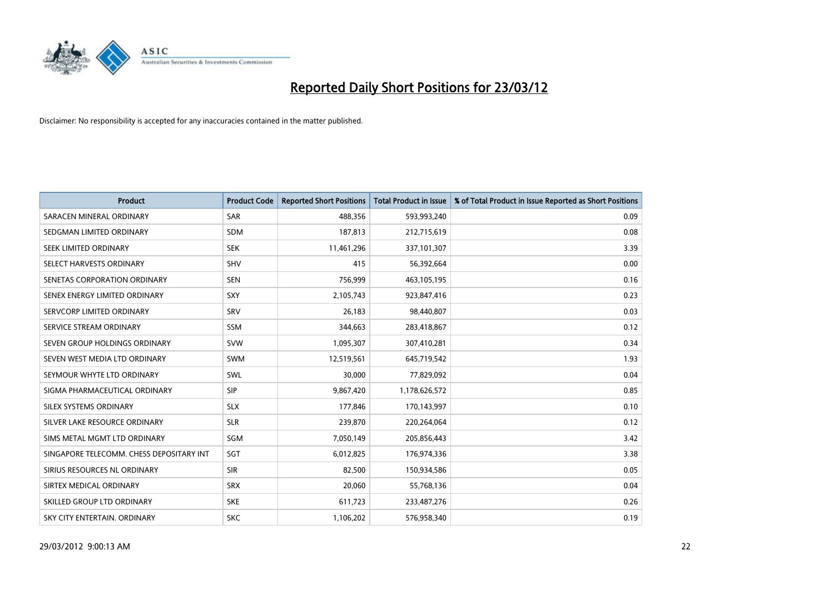

| <b>Product</b>                           | <b>Product Code</b> | <b>Reported Short Positions</b> | <b>Total Product in Issue</b> | % of Total Product in Issue Reported as Short Positions |
|------------------------------------------|---------------------|---------------------------------|-------------------------------|---------------------------------------------------------|
| SARACEN MINERAL ORDINARY                 | <b>SAR</b>          | 488,356                         | 593,993,240                   | 0.09                                                    |
| SEDGMAN LIMITED ORDINARY                 | <b>SDM</b>          | 187,813                         | 212,715,619                   | 0.08                                                    |
| SEEK LIMITED ORDINARY                    | <b>SEK</b>          | 11,461,296                      | 337,101,307                   | 3.39                                                    |
| SELECT HARVESTS ORDINARY                 | <b>SHV</b>          | 415                             | 56,392,664                    | 0.00                                                    |
| SENETAS CORPORATION ORDINARY             | <b>SEN</b>          | 756,999                         | 463,105,195                   | 0.16                                                    |
| SENEX ENERGY LIMITED ORDINARY            | SXY                 | 2,105,743                       | 923,847,416                   | 0.23                                                    |
| SERVCORP LIMITED ORDINARY                | SRV                 | 26,183                          | 98,440,807                    | 0.03                                                    |
| SERVICE STREAM ORDINARY                  | SSM                 | 344,663                         | 283,418,867                   | 0.12                                                    |
| SEVEN GROUP HOLDINGS ORDINARY            | <b>SVW</b>          | 1,095,307                       | 307,410,281                   | 0.34                                                    |
| SEVEN WEST MEDIA LTD ORDINARY            | <b>SWM</b>          | 12,519,561                      | 645,719,542                   | 1.93                                                    |
| SEYMOUR WHYTE LTD ORDINARY               | SWL                 | 30,000                          | 77,829,092                    | 0.04                                                    |
| SIGMA PHARMACEUTICAL ORDINARY            | <b>SIP</b>          | 9,867,420                       | 1,178,626,572                 | 0.85                                                    |
| SILEX SYSTEMS ORDINARY                   | <b>SLX</b>          | 177,846                         | 170,143,997                   | 0.10                                                    |
| SILVER LAKE RESOURCE ORDINARY            | <b>SLR</b>          | 239,870                         | 220,264,064                   | 0.12                                                    |
| SIMS METAL MGMT LTD ORDINARY             | SGM                 | 7,050,149                       | 205,856,443                   | 3.42                                                    |
| SINGAPORE TELECOMM. CHESS DEPOSITARY INT | SGT                 | 6,012,825                       | 176,974,336                   | 3.38                                                    |
| SIRIUS RESOURCES NL ORDINARY             | <b>SIR</b>          | 82,500                          | 150,934,586                   | 0.05                                                    |
| SIRTEX MEDICAL ORDINARY                  | <b>SRX</b>          | 20,060                          | 55,768,136                    | 0.04                                                    |
| SKILLED GROUP LTD ORDINARY               | <b>SKE</b>          | 611,723                         | 233,487,276                   | 0.26                                                    |
| SKY CITY ENTERTAIN. ORDINARY             | <b>SKC</b>          | 1,106,202                       | 576,958,340                   | 0.19                                                    |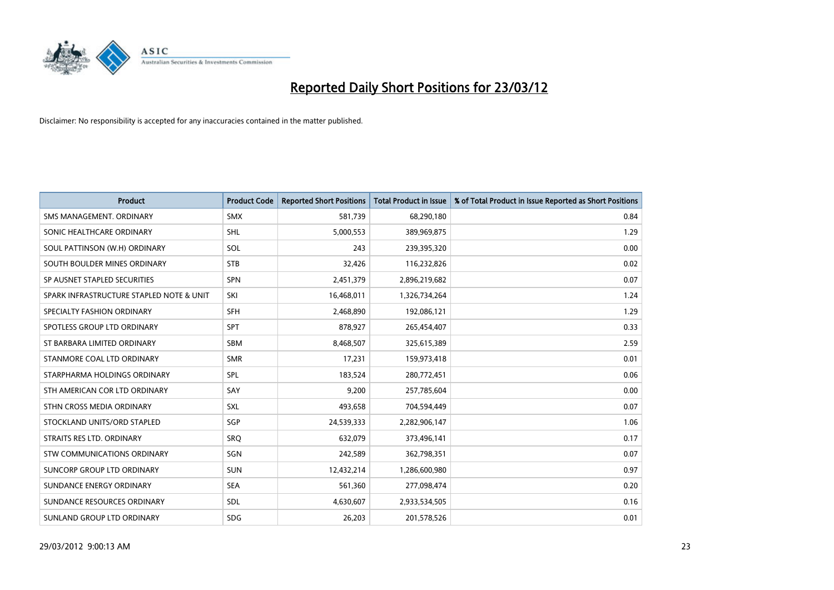

| <b>Product</b>                           | <b>Product Code</b> | <b>Reported Short Positions</b> | <b>Total Product in Issue</b> | % of Total Product in Issue Reported as Short Positions |
|------------------------------------------|---------------------|---------------------------------|-------------------------------|---------------------------------------------------------|
| SMS MANAGEMENT, ORDINARY                 | <b>SMX</b>          | 581,739                         | 68,290,180                    | 0.84                                                    |
| SONIC HEALTHCARE ORDINARY                | <b>SHL</b>          | 5,000,553                       | 389,969,875                   | 1.29                                                    |
| SOUL PATTINSON (W.H) ORDINARY            | SOL                 | 243                             | 239,395,320                   | 0.00                                                    |
| SOUTH BOULDER MINES ORDINARY             | <b>STB</b>          | 32,426                          | 116,232,826                   | 0.02                                                    |
| SP AUSNET STAPLED SECURITIES             | <b>SPN</b>          | 2,451,379                       | 2,896,219,682                 | 0.07                                                    |
| SPARK INFRASTRUCTURE STAPLED NOTE & UNIT | SKI                 | 16,468,011                      | 1,326,734,264                 | 1.24                                                    |
| SPECIALTY FASHION ORDINARY               | SFH                 | 2,468,890                       | 192,086,121                   | 1.29                                                    |
| SPOTLESS GROUP LTD ORDINARY              | <b>SPT</b>          | 878,927                         | 265,454,407                   | 0.33                                                    |
| ST BARBARA LIMITED ORDINARY              | <b>SBM</b>          | 8,468,507                       | 325,615,389                   | 2.59                                                    |
| STANMORE COAL LTD ORDINARY               | <b>SMR</b>          | 17,231                          | 159,973,418                   | 0.01                                                    |
| STARPHARMA HOLDINGS ORDINARY             | <b>SPL</b>          | 183,524                         | 280,772,451                   | 0.06                                                    |
| STH AMERICAN COR LTD ORDINARY            | SAY                 | 9,200                           | 257,785,604                   | 0.00                                                    |
| STHN CROSS MEDIA ORDINARY                | <b>SXL</b>          | 493,658                         | 704,594,449                   | 0.07                                                    |
| STOCKLAND UNITS/ORD STAPLED              | SGP                 | 24,539,333                      | 2,282,906,147                 | 1.06                                                    |
| STRAITS RES LTD. ORDINARY                | SRQ                 | 632,079                         | 373,496,141                   | 0.17                                                    |
| STW COMMUNICATIONS ORDINARY              | SGN                 | 242,589                         | 362,798,351                   | 0.07                                                    |
| SUNCORP GROUP LTD ORDINARY               | <b>SUN</b>          | 12,432,214                      | 1,286,600,980                 | 0.97                                                    |
| SUNDANCE ENERGY ORDINARY                 | <b>SEA</b>          | 561,360                         | 277,098,474                   | 0.20                                                    |
| SUNDANCE RESOURCES ORDINARY              | <b>SDL</b>          | 4,630,607                       | 2,933,534,505                 | 0.16                                                    |
| SUNLAND GROUP LTD ORDINARY               | <b>SDG</b>          | 26,203                          | 201,578,526                   | 0.01                                                    |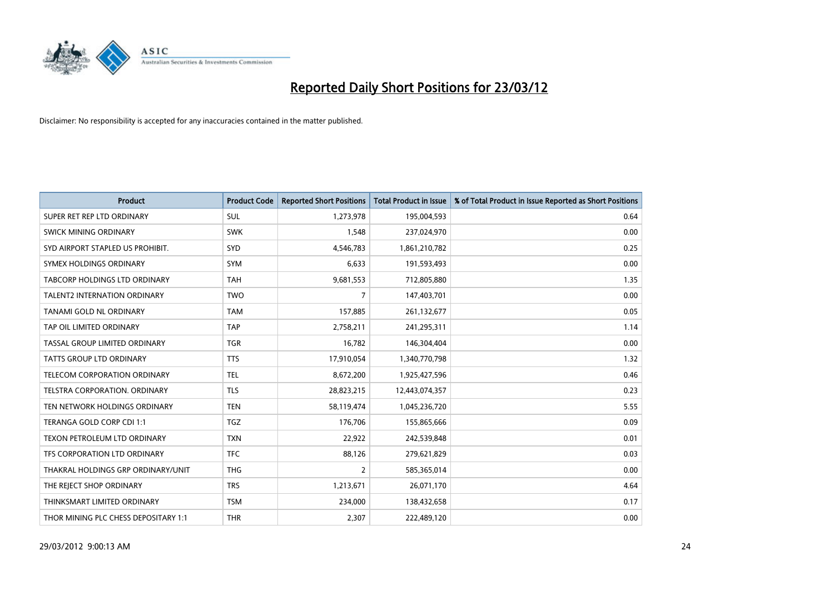

| <b>Product</b>                       | <b>Product Code</b> | <b>Reported Short Positions</b> | <b>Total Product in Issue</b> | % of Total Product in Issue Reported as Short Positions |
|--------------------------------------|---------------------|---------------------------------|-------------------------------|---------------------------------------------------------|
| SUPER RET REP LTD ORDINARY           | <b>SUL</b>          | 1,273,978                       | 195,004,593                   | 0.64                                                    |
| SWICK MINING ORDINARY                | <b>SWK</b>          | 1,548                           | 237,024,970                   | 0.00                                                    |
| SYD AIRPORT STAPLED US PROHIBIT.     | <b>SYD</b>          | 4,546,783                       | 1,861,210,782                 | 0.25                                                    |
| SYMEX HOLDINGS ORDINARY              | <b>SYM</b>          | 6,633                           | 191,593,493                   | 0.00                                                    |
| <b>TABCORP HOLDINGS LTD ORDINARY</b> | <b>TAH</b>          | 9,681,553                       | 712,805,880                   | 1.35                                                    |
| <b>TALENT2 INTERNATION ORDINARY</b>  | <b>TWO</b>          | $\overline{7}$                  | 147,403,701                   | 0.00                                                    |
| TANAMI GOLD NL ORDINARY              | <b>TAM</b>          | 157,885                         | 261,132,677                   | 0.05                                                    |
| TAP OIL LIMITED ORDINARY             | <b>TAP</b>          | 2,758,211                       | 241,295,311                   | 1.14                                                    |
| TASSAL GROUP LIMITED ORDINARY        | <b>TGR</b>          | 16.782                          | 146,304,404                   | 0.00                                                    |
| <b>TATTS GROUP LTD ORDINARY</b>      | <b>TTS</b>          | 17,910,054                      | 1,340,770,798                 | 1.32                                                    |
| TELECOM CORPORATION ORDINARY         | <b>TEL</b>          | 8,672,200                       | 1,925,427,596                 | 0.46                                                    |
| <b>TELSTRA CORPORATION, ORDINARY</b> | <b>TLS</b>          | 28,823,215                      | 12,443,074,357                | 0.23                                                    |
| TEN NETWORK HOLDINGS ORDINARY        | <b>TEN</b>          | 58,119,474                      | 1,045,236,720                 | 5.55                                                    |
| TERANGA GOLD CORP CDI 1:1            | TGZ                 | 176,706                         | 155,865,666                   | 0.09                                                    |
| TEXON PETROLEUM LTD ORDINARY         | <b>TXN</b>          | 22,922                          | 242,539,848                   | 0.01                                                    |
| TFS CORPORATION LTD ORDINARY         | <b>TFC</b>          | 88,126                          | 279,621,829                   | 0.03                                                    |
| THAKRAL HOLDINGS GRP ORDINARY/UNIT   | <b>THG</b>          | $\overline{2}$                  | 585,365,014                   | 0.00                                                    |
| THE REJECT SHOP ORDINARY             | <b>TRS</b>          | 1,213,671                       | 26,071,170                    | 4.64                                                    |
| THINKSMART LIMITED ORDINARY          | <b>TSM</b>          | 234,000                         | 138,432,658                   | 0.17                                                    |
| THOR MINING PLC CHESS DEPOSITARY 1:1 | <b>THR</b>          | 2,307                           | 222,489,120                   | 0.00                                                    |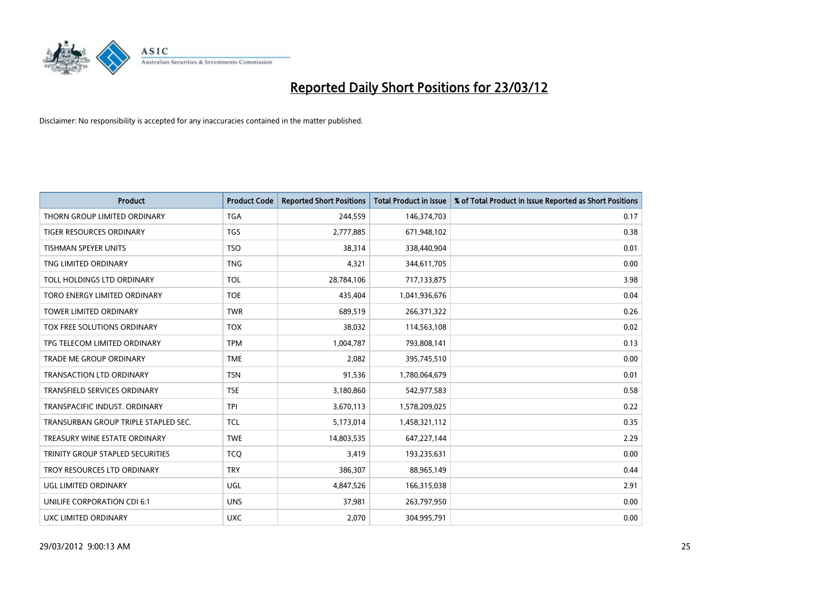

| <b>Product</b>                       | <b>Product Code</b> | <b>Reported Short Positions</b> | <b>Total Product in Issue</b> | % of Total Product in Issue Reported as Short Positions |
|--------------------------------------|---------------------|---------------------------------|-------------------------------|---------------------------------------------------------|
| THORN GROUP LIMITED ORDINARY         | <b>TGA</b>          | 244,559                         | 146,374,703                   | 0.17                                                    |
| TIGER RESOURCES ORDINARY             | <b>TGS</b>          | 2,777,885                       | 671,948,102                   | 0.38                                                    |
| <b>TISHMAN SPEYER UNITS</b>          | <b>TSO</b>          | 38,314                          | 338,440,904                   | 0.01                                                    |
| TNG LIMITED ORDINARY                 | <b>TNG</b>          | 4,321                           | 344,611,705                   | 0.00                                                    |
| TOLL HOLDINGS LTD ORDINARY           | <b>TOL</b>          | 28,784,106                      | 717,133,875                   | 3.98                                                    |
| TORO ENERGY LIMITED ORDINARY         | <b>TOE</b>          | 435,404                         | 1,041,936,676                 | 0.04                                                    |
| <b>TOWER LIMITED ORDINARY</b>        | <b>TWR</b>          | 689,519                         | 266,371,322                   | 0.26                                                    |
| TOX FREE SOLUTIONS ORDINARY          | <b>TOX</b>          | 38,032                          | 114,563,108                   | 0.02                                                    |
| TPG TELECOM LIMITED ORDINARY         | <b>TPM</b>          | 1,004,787                       | 793,808,141                   | 0.13                                                    |
| <b>TRADE ME GROUP ORDINARY</b>       | <b>TME</b>          | 2,082                           | 395,745,510                   | 0.00                                                    |
| TRANSACTION LTD ORDINARY             | <b>TSN</b>          | 91,536                          | 1,780,064,679                 | 0.01                                                    |
| <b>TRANSFIELD SERVICES ORDINARY</b>  | <b>TSE</b>          | 3,180,860                       | 542,977,583                   | 0.58                                                    |
| TRANSPACIFIC INDUST, ORDINARY        | <b>TPI</b>          | 3,670,113                       | 1,578,209,025                 | 0.22                                                    |
| TRANSURBAN GROUP TRIPLE STAPLED SEC. | TCL                 | 5,173,014                       | 1,458,321,112                 | 0.35                                                    |
| TREASURY WINE ESTATE ORDINARY        | <b>TWE</b>          | 14,803,535                      | 647,227,144                   | 2.29                                                    |
| TRINITY GROUP STAPLED SECURITIES     | <b>TCO</b>          | 3,419                           | 193,235,631                   | 0.00                                                    |
| TROY RESOURCES LTD ORDINARY          | <b>TRY</b>          | 386,307                         | 88,965,149                    | 0.44                                                    |
| UGL LIMITED ORDINARY                 | UGL                 | 4,847,526                       | 166,315,038                   | 2.91                                                    |
| UNILIFE CORPORATION CDI 6:1          | <b>UNS</b>          | 37,981                          | 263,797,950                   | 0.00                                                    |
| UXC LIMITED ORDINARY                 | <b>UXC</b>          | 2,070                           | 304,995,791                   | 0.00                                                    |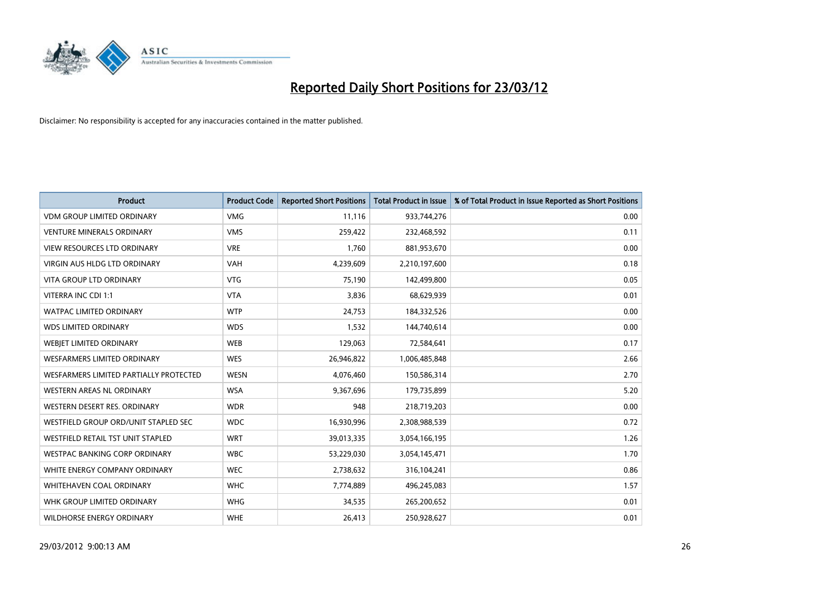

| <b>Product</b>                         | <b>Product Code</b> | <b>Reported Short Positions</b> | <b>Total Product in Issue</b> | % of Total Product in Issue Reported as Short Positions |
|----------------------------------------|---------------------|---------------------------------|-------------------------------|---------------------------------------------------------|
| <b>VDM GROUP LIMITED ORDINARY</b>      | <b>VMG</b>          | 11,116                          | 933,744,276                   | 0.00                                                    |
| <b>VENTURE MINERALS ORDINARY</b>       | <b>VMS</b>          | 259,422                         | 232,468,592                   | 0.11                                                    |
| <b>VIEW RESOURCES LTD ORDINARY</b>     | <b>VRE</b>          | 1,760                           | 881,953,670                   | 0.00                                                    |
| VIRGIN AUS HLDG LTD ORDINARY           | <b>VAH</b>          | 4,239,609                       | 2,210,197,600                 | 0.18                                                    |
| <b>VITA GROUP LTD ORDINARY</b>         | <b>VTG</b>          | 75,190                          | 142,499,800                   | 0.05                                                    |
| VITERRA INC CDI 1:1                    | <b>VTA</b>          | 3,836                           | 68,629,939                    | 0.01                                                    |
| <b>WATPAC LIMITED ORDINARY</b>         | <b>WTP</b>          | 24,753                          | 184,332,526                   | 0.00                                                    |
| <b>WDS LIMITED ORDINARY</b>            | <b>WDS</b>          | 1,532                           | 144,740,614                   | 0.00                                                    |
| <b>WEBJET LIMITED ORDINARY</b>         | <b>WEB</b>          | 129,063                         | 72,584,641                    | 0.17                                                    |
| <b>WESFARMERS LIMITED ORDINARY</b>     | <b>WES</b>          | 26,946,822                      | 1,006,485,848                 | 2.66                                                    |
| WESFARMERS LIMITED PARTIALLY PROTECTED | <b>WESN</b>         | 4,076,460                       | 150,586,314                   | 2.70                                                    |
| <b>WESTERN AREAS NL ORDINARY</b>       | <b>WSA</b>          | 9,367,696                       | 179,735,899                   | 5.20                                                    |
| WESTERN DESERT RES. ORDINARY           | <b>WDR</b>          | 948                             | 218,719,203                   | 0.00                                                    |
| WESTFIELD GROUP ORD/UNIT STAPLED SEC   | <b>WDC</b>          | 16,930,996                      | 2,308,988,539                 | 0.72                                                    |
| WESTFIELD RETAIL TST UNIT STAPLED      | <b>WRT</b>          | 39,013,335                      | 3,054,166,195                 | 1.26                                                    |
| <b>WESTPAC BANKING CORP ORDINARY</b>   | <b>WBC</b>          | 53,229,030                      | 3,054,145,471                 | 1.70                                                    |
| WHITE ENERGY COMPANY ORDINARY          | <b>WEC</b>          | 2,738,632                       | 316,104,241                   | 0.86                                                    |
| WHITEHAVEN COAL ORDINARY               | <b>WHC</b>          | 7,774,889                       | 496,245,083                   | 1.57                                                    |
| WHK GROUP LIMITED ORDINARY             | <b>WHG</b>          | 34,535                          | 265,200,652                   | 0.01                                                    |
| <b>WILDHORSE ENERGY ORDINARY</b>       | <b>WHE</b>          | 26,413                          | 250,928,627                   | 0.01                                                    |